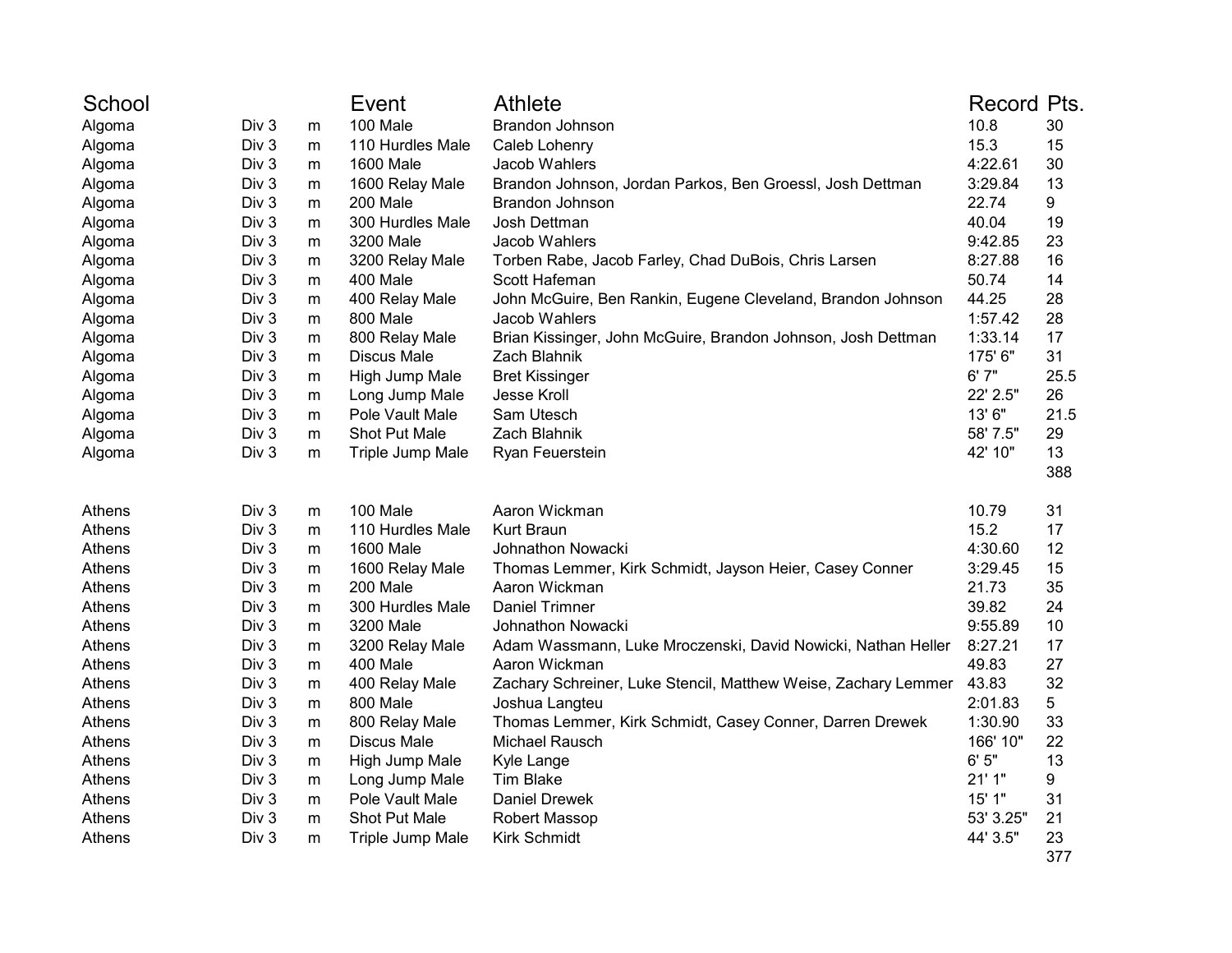| School |                  |           | Event              | <b>Athlete</b>                                                 | Record Pts. |      |
|--------|------------------|-----------|--------------------|----------------------------------------------------------------|-------------|------|
| Algoma | Div <sub>3</sub> | m         | 100 Male           | Brandon Johnson                                                | 10.8        | 30   |
| Algoma | Div 3            | m         | 110 Hurdles Male   | Caleb Lohenry                                                  | 15.3        | 15   |
| Algoma | Div 3            | m         | 1600 Male          | Jacob Wahlers                                                  | 4:22.61     | 30   |
| Algoma | Div 3            | m         | 1600 Relay Male    | Brandon Johnson, Jordan Parkos, Ben Groessl, Josh Dettman      | 3:29.84     | 13   |
| Algoma | Div 3            | m         | 200 Male           | Brandon Johnson                                                | 22.74       | 9    |
| Algoma | Div 3            | m         | 300 Hurdles Male   | Josh Dettman                                                   | 40.04       | 19   |
| Algoma | Div 3            | m         | 3200 Male          | Jacob Wahlers                                                  | 9:42.85     | 23   |
| Algoma | Div 3            | m         | 3200 Relay Male    | Torben Rabe, Jacob Farley, Chad DuBois, Chris Larsen           | 8:27.88     | 16   |
| Algoma | Div 3            | m         | 400 Male           | Scott Hafeman                                                  | 50.74       | 14   |
| Algoma | Div 3            | m         | 400 Relay Male     | John McGuire, Ben Rankin, Eugene Cleveland, Brandon Johnson    | 44.25       | 28   |
| Algoma | Div 3            | m         | 800 Male           | Jacob Wahlers                                                  | 1:57.42     | 28   |
| Algoma | Div 3            | m         | 800 Relay Male     | Brian Kissinger, John McGuire, Brandon Johnson, Josh Dettman   | 1:33.14     | 17   |
| Algoma | Div 3            | m         | <b>Discus Male</b> | Zach Blahnik                                                   | 175' 6"     | 31   |
| Algoma | Div 3            | m         | High Jump Male     | <b>Bret Kissinger</b>                                          | 6'7''       | 25.5 |
| Algoma | Div 3            | m         | Long Jump Male     | Jesse Kroll                                                    | 22' 2.5"    | 26   |
| Algoma | Div 3            | m         | Pole Vault Male    | Sam Utesch                                                     | 13' 6"      | 21.5 |
| Algoma | Div 3            | m         | Shot Put Male      | Zach Blahnik                                                   | 58' 7.5"    | 29   |
| Algoma | Div 3            | m         | Triple Jump Male   | Ryan Feuerstein                                                | 42' 10"     | 13   |
|        |                  |           |                    |                                                                |             | 388  |
| Athens | Div 3            | ${\sf m}$ | 100 Male           | Aaron Wickman                                                  | 10.79       | 31   |
| Athens | Div 3            | m         | 110 Hurdles Male   | Kurt Braun                                                     | 15.2        | 17   |
| Athens | Div <sub>3</sub> | m         | 1600 Male          | Johnathon Nowacki                                              | 4:30.60     | 12   |
| Athens | Div 3            | m         | 1600 Relay Male    | Thomas Lemmer, Kirk Schmidt, Jayson Heier, Casey Conner        | 3:29.45     | 15   |
| Athens | Div 3            | m         | 200 Male           | Aaron Wickman                                                  | 21.73       | 35   |
| Athens | Div 3            | m         | 300 Hurdles Male   | <b>Daniel Trimner</b>                                          | 39.82       | 24   |
| Athens | Div 3            | m         | 3200 Male          | Johnathon Nowacki                                              | 9:55.89     | 10   |
| Athens | Div 3            | m         | 3200 Relay Male    | Adam Wassmann, Luke Mroczenski, David Nowicki, Nathan Heller   | 8:27.21     | 17   |
| Athens | Div 3            | m         | 400 Male           | Aaron Wickman                                                  | 49.83       | 27   |
| Athens | Div 3            | m         | 400 Relay Male     | Zachary Schreiner, Luke Stencil, Matthew Weise, Zachary Lemmer | 43.83       | 32   |
| Athens | Div 3            | m         | 800 Male           | Joshua Langteu                                                 | 2:01.83     | 5    |
| Athens | Div 3            | m         | 800 Relay Male     | Thomas Lemmer, Kirk Schmidt, Casey Conner, Darren Drewek       | 1:30.90     | 33   |
| Athens | Div 3            | m         | <b>Discus Male</b> | Michael Rausch                                                 | 166' 10"    | 22   |
| Athens | Div 3            | m         | High Jump Male     | Kyle Lange                                                     | 6'5''       | 13   |
| Athens | Div 3            | m         | Long Jump Male     | <b>Tim Blake</b>                                               | 21'1"       | 9    |
| Athens | Div 3            | m         | Pole Vault Male    | Daniel Drewek                                                  | 15' 1"      | 31   |
| Athens | Div 3            | m         | Shot Put Male      | Robert Massop                                                  | 53' 3.25"   | 21   |
| Athens | Div 3            | m         | Triple Jump Male   | <b>Kirk Schmidt</b>                                            | 44' 3.5"    | 23   |
|        |                  |           |                    |                                                                |             | 377  |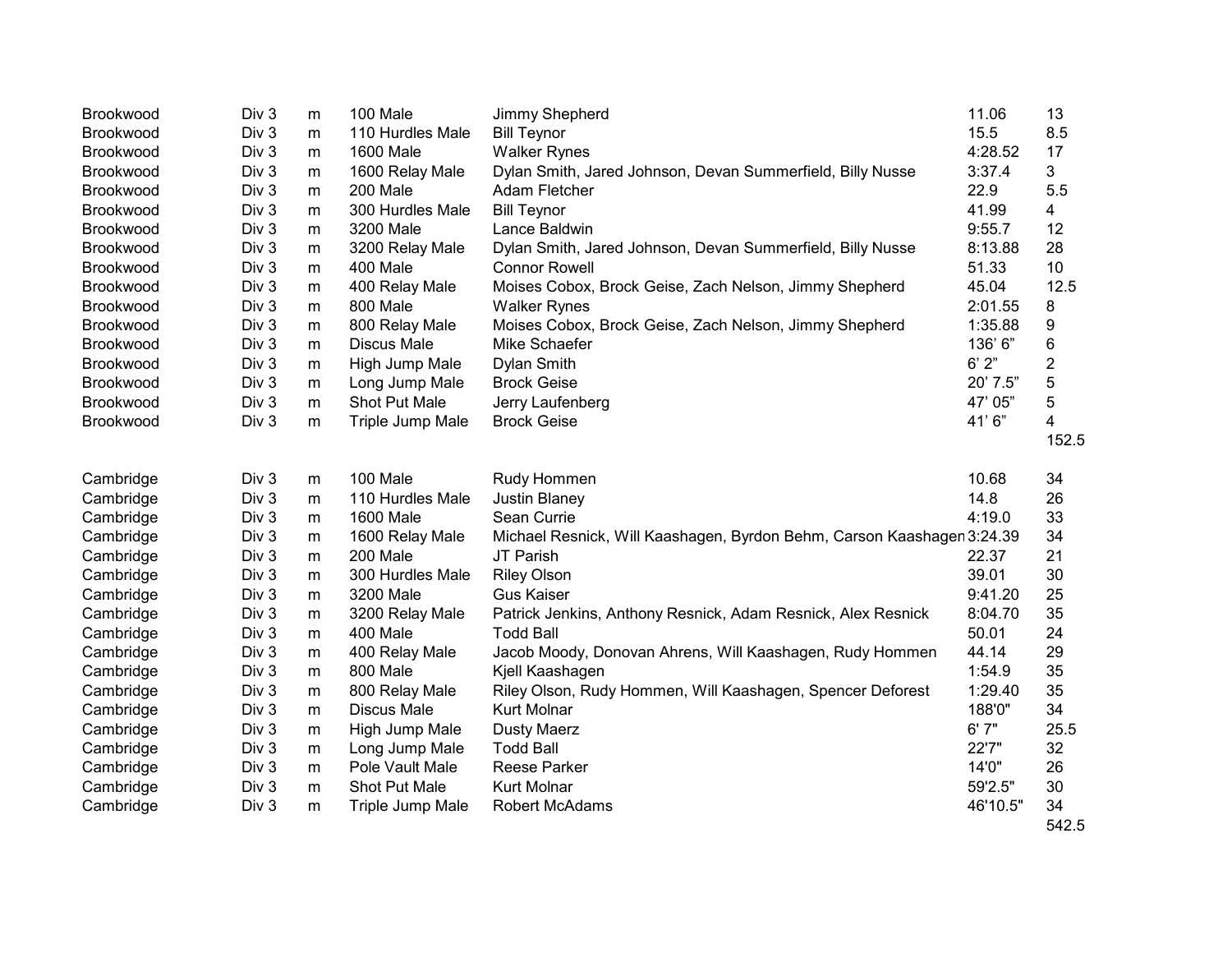| Brookwood        | Div 3            | m | 100 Male           | Jimmy Shepherd                                                         | 11.06    | 13             |
|------------------|------------------|---|--------------------|------------------------------------------------------------------------|----------|----------------|
| Brookwood        | Div 3            | m | 110 Hurdles Male   | <b>Bill Teynor</b>                                                     | 15.5     | 8.5            |
| Brookwood        | Div 3            | m | <b>1600 Male</b>   | <b>Walker Rynes</b>                                                    | 4:28.52  | 17             |
| Brookwood        | Div 3            | m | 1600 Relay Male    | Dylan Smith, Jared Johnson, Devan Summerfield, Billy Nusse             | 3:37.4   | 3              |
| Brookwood        | Div 3            | m | 200 Male           | Adam Fletcher                                                          | 22.9     | 5.5            |
| <b>Brookwood</b> | Div 3            | m | 300 Hurdles Male   | <b>Bill Teynor</b>                                                     | 41.99    | 4              |
| Brookwood        | Div 3            | m | 3200 Male          | Lance Baldwin                                                          | 9:55.7   | 12             |
| Brookwood        | Div 3            | m | 3200 Relay Male    | Dylan Smith, Jared Johnson, Devan Summerfield, Billy Nusse             | 8:13.88  | 28             |
| Brookwood        | Div 3            | m | 400 Male           | <b>Connor Rowell</b>                                                   | 51.33    | 10             |
| <b>Brookwood</b> | Div <sub>3</sub> | m | 400 Relay Male     | Moises Cobox, Brock Geise, Zach Nelson, Jimmy Shepherd                 | 45.04    | 12.5           |
| Brookwood        | Div 3            | m | 800 Male           | <b>Walker Rynes</b>                                                    | 2:01.55  | 8              |
| Brookwood        | Div <sub>3</sub> | m | 800 Relay Male     | Moises Cobox, Brock Geise, Zach Nelson, Jimmy Shepherd                 | 1:35.88  | 9              |
| <b>Brookwood</b> | Div <sub>3</sub> | m | <b>Discus Male</b> | Mike Schaefer                                                          | 136' 6"  | 6              |
| Brookwood        | Div 3            | m | High Jump Male     | Dylan Smith                                                            | 6'2"     | $\overline{2}$ |
| Brookwood        | Div 3            | m | Long Jump Male     | <b>Brock Geise</b>                                                     | 20' 7.5" | 5              |
| <b>Brookwood</b> | Div <sub>3</sub> | m | Shot Put Male      | Jerry Laufenberg                                                       | 47' 05"  | 5              |
| Brookwood        | Div 3            | m | Triple Jump Male   | <b>Brock Geise</b>                                                     | 41'6"    | 4              |
|                  |                  |   |                    |                                                                        |          | 152.5          |
|                  |                  |   |                    |                                                                        |          |                |
| Cambridge        | Div 3            | m | 100 Male           | Rudy Hommen                                                            | 10.68    | 34             |
| Cambridge        | Div <sub>3</sub> | m | 110 Hurdles Male   | <b>Justin Blaney</b>                                                   | 14.8     | 26             |
| Cambridge        | Div <sub>3</sub> | m | <b>1600 Male</b>   | Sean Currie                                                            | 4:19.0   | 33             |
| Cambridge        | Div 3            | m | 1600 Relay Male    | Michael Resnick, Will Kaashagen, Byrdon Behm, Carson Kaashagen 3:24.39 |          | 34             |
| Cambridge        | Div 3            | m | 200 Male           | JT Parish                                                              | 22.37    | 21             |
| Cambridge        | Div 3            | m | 300 Hurdles Male   | <b>Riley Olson</b>                                                     | 39.01    | 30             |
| Cambridge        | Div 3            | m | 3200 Male          | <b>Gus Kaiser</b>                                                      | 9:41.20  | 25             |
| Cambridge        | Div 3            | m | 3200 Relay Male    | Patrick Jenkins, Anthony Resnick, Adam Resnick, Alex Resnick           | 8:04.70  | 35             |
| Cambridge        | Div 3            | m | 400 Male           | <b>Todd Ball</b>                                                       | 50.01    | 24             |
| Cambridge        | Div 3            | m | 400 Relay Male     | Jacob Moody, Donovan Ahrens, Will Kaashagen, Rudy Hommen               | 44.14    | 29             |
| Cambridge        | Div 3            | m | 800 Male           | Kjell Kaashagen                                                        | 1:54.9   | 35             |
| Cambridge        | Div 3            | m | 800 Relay Male     | Riley Olson, Rudy Hommen, Will Kaashagen, Spencer Deforest             | 1:29.40  | 35             |
| Cambridge        | Div <sub>3</sub> | m | <b>Discus Male</b> | <b>Kurt Molnar</b>                                                     | 188'0"   | 34             |
| Cambridge        | Div 3            | m | High Jump Male     | <b>Dusty Maerz</b>                                                     | 6'7''    | 25.5           |
| Cambridge        | Div 3            | m | Long Jump Male     | <b>Todd Ball</b>                                                       | 22'7"    | 32             |
| Cambridge        | Div 3            | m | Pole Vault Male    | <b>Reese Parker</b>                                                    | 14'0"    | 26             |
| Cambridge        | Div 3            | m | Shot Put Male      | <b>Kurt Molnar</b>                                                     | 59'2.5"  | 30             |
| Cambridge        | Div 3            | m | Triple Jump Male   | Robert McAdams                                                         | 46'10.5" | 34             |
|                  |                  |   |                    |                                                                        |          | 542.5          |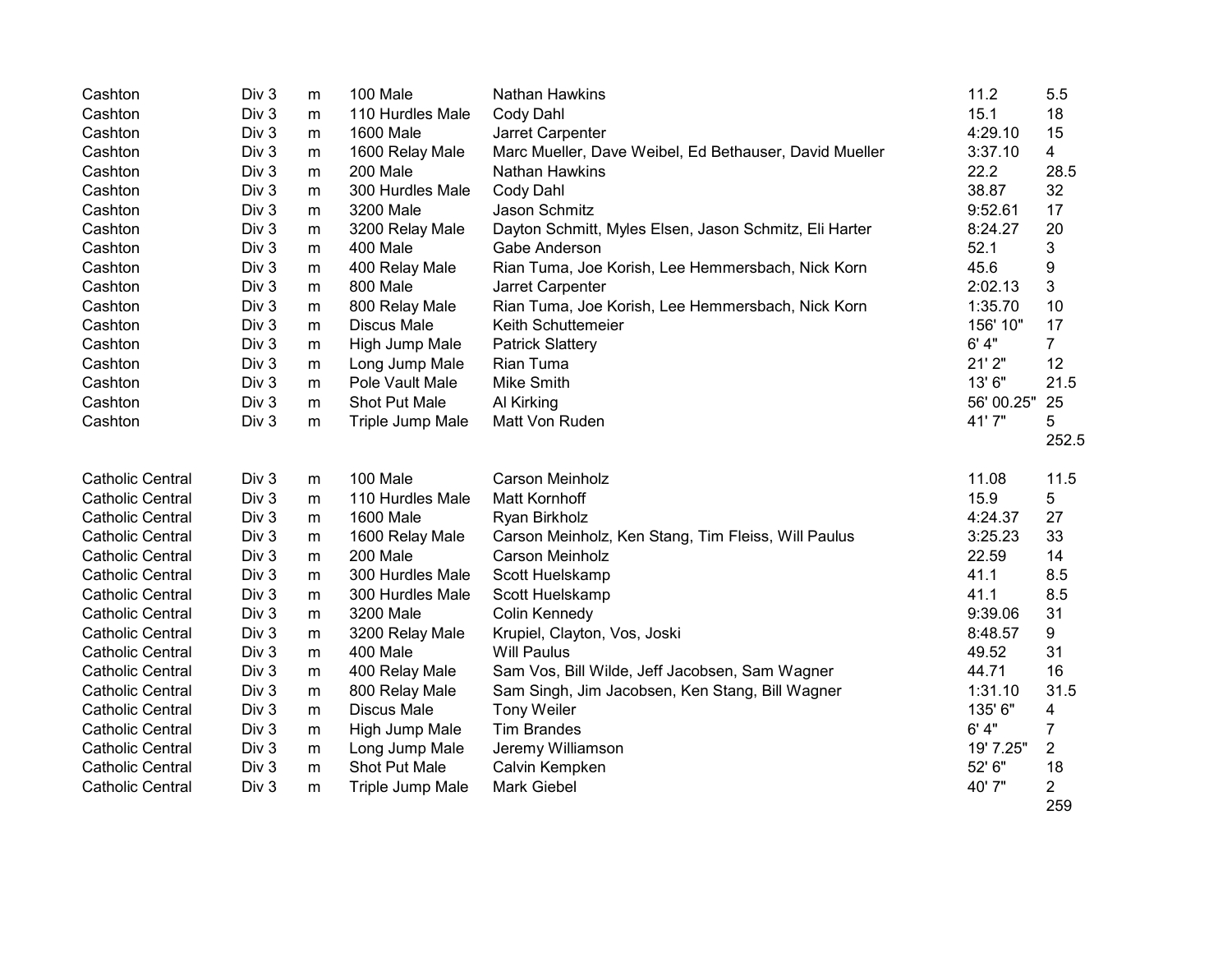| Cashton                 | Div 3 | m | 100 Male           | Nathan Hawkins                                         | 11.2       | 5.5                   |
|-------------------------|-------|---|--------------------|--------------------------------------------------------|------------|-----------------------|
| Cashton                 | Div 3 | m | 110 Hurdles Male   | Cody Dahl                                              | 15.1       | 18                    |
| Cashton                 | Div 3 | m | <b>1600 Male</b>   | Jarret Carpenter                                       | 4:29.10    | 15                    |
| Cashton                 | Div 3 | m | 1600 Relay Male    | Marc Mueller, Dave Weibel, Ed Bethauser, David Mueller | 3:37.10    | $\overline{4}$        |
| Cashton                 | Div 3 | m | 200 Male           | Nathan Hawkins                                         | 22.2       | 28.5                  |
| Cashton                 | Div 3 | m | 300 Hurdles Male   | Cody Dahl                                              | 38.87      | 32                    |
| Cashton                 | Div 3 | m | 3200 Male          | Jason Schmitz                                          | 9:52.61    | 17                    |
| Cashton                 | Div 3 | m | 3200 Relay Male    | Dayton Schmitt, Myles Elsen, Jason Schmitz, Eli Harter | 8:24.27    | 20                    |
| Cashton                 | Div 3 | m | 400 Male           | Gabe Anderson                                          | 52.1       | 3                     |
| Cashton                 | Div 3 | m | 400 Relay Male     | Rian Tuma, Joe Korish, Lee Hemmersbach, Nick Korn      | 45.6       | 9                     |
| Cashton                 | Div 3 | m | 800 Male           | Jarret Carpenter                                       | 2:02.13    | $\mathbf{3}$          |
| Cashton                 | Div 3 | m | 800 Relay Male     | Rian Tuma, Joe Korish, Lee Hemmersbach, Nick Korn      | 1:35.70    | 10                    |
| Cashton                 | Div 3 | m | <b>Discus Male</b> | Keith Schuttemeier                                     | 156' 10"   | 17                    |
| Cashton                 | Div 3 | m | High Jump Male     | <b>Patrick Slattery</b>                                | 6' 4''     | $\overline{7}$        |
| Cashton                 | Div 3 | m | Long Jump Male     | Rian Tuma                                              | 21'2"      | 12                    |
| Cashton                 | Div 3 | m | Pole Vault Male    | <b>Mike Smith</b>                                      | 13'6"      | 21.5                  |
| Cashton                 | Div 3 | m | Shot Put Male      | Al Kirking                                             | 56' 00.25" | 25                    |
| Cashton                 | Div 3 | m | Triple Jump Male   | Matt Von Ruden                                         | 41'7"      | 5                     |
|                         |       |   |                    |                                                        |            | 252.5                 |
| <b>Catholic Central</b> | Div 3 | m | 100 Male           | Carson Meinholz                                        | 11.08      | 11.5                  |
| <b>Catholic Central</b> | Div 3 | m | 110 Hurdles Male   | <b>Matt Kornhoff</b>                                   | 15.9       | 5                     |
| <b>Catholic Central</b> | Div 3 | m | <b>1600 Male</b>   | Ryan Birkholz                                          | 4:24.37    | 27                    |
| <b>Catholic Central</b> | Div 3 | m | 1600 Relay Male    | Carson Meinholz, Ken Stang, Tim Fleiss, Will Paulus    | 3:25.23    | 33                    |
| <b>Catholic Central</b> | Div 3 | m | 200 Male           | Carson Meinholz                                        | 22.59      | 14                    |
| <b>Catholic Central</b> | Div 3 | m | 300 Hurdles Male   | Scott Huelskamp                                        | 41.1       | 8.5                   |
| <b>Catholic Central</b> | Div 3 | m | 300 Hurdles Male   | Scott Huelskamp                                        | 41.1       | 8.5                   |
| <b>Catholic Central</b> | Div 3 | m | 3200 Male          | Colin Kennedy                                          | 9:39.06    | 31                    |
| <b>Catholic Central</b> | Div 3 | m | 3200 Relay Male    | Krupiel, Clayton, Vos, Joski                           | 8:48.57    | 9                     |
| <b>Catholic Central</b> | Div 3 | m | 400 Male           | <b>Will Paulus</b>                                     | 49.52      | 31                    |
| <b>Catholic Central</b> | Div 3 | m | 400 Relay Male     | Sam Vos, Bill Wilde, Jeff Jacobsen, Sam Wagner         | 44.71      | 16                    |
| <b>Catholic Central</b> | Div 3 | m | 800 Relay Male     | Sam Singh, Jim Jacobsen, Ken Stang, Bill Wagner        | 1:31.10    | 31.5                  |
| <b>Catholic Central</b> | Div 3 | m | <b>Discus Male</b> | <b>Tony Weiler</b>                                     | 135' 6"    | 4                     |
| <b>Catholic Central</b> | Div 3 | m | High Jump Male     | <b>Tim Brandes</b>                                     | 6' 4''     | 7                     |
| <b>Catholic Central</b> | Div 3 | m | Long Jump Male     | Jeremy Williamson                                      | 19' 7.25"  | $\overline{2}$        |
| <b>Catholic Central</b> | Div 3 | m | Shot Put Male      | Calvin Kempken                                         | 52' 6"     | 18                    |
| <b>Catholic Central</b> | Div 3 | m | Triple Jump Male   | Mark Giebel                                            | 40' 7"     | $\overline{2}$<br>259 |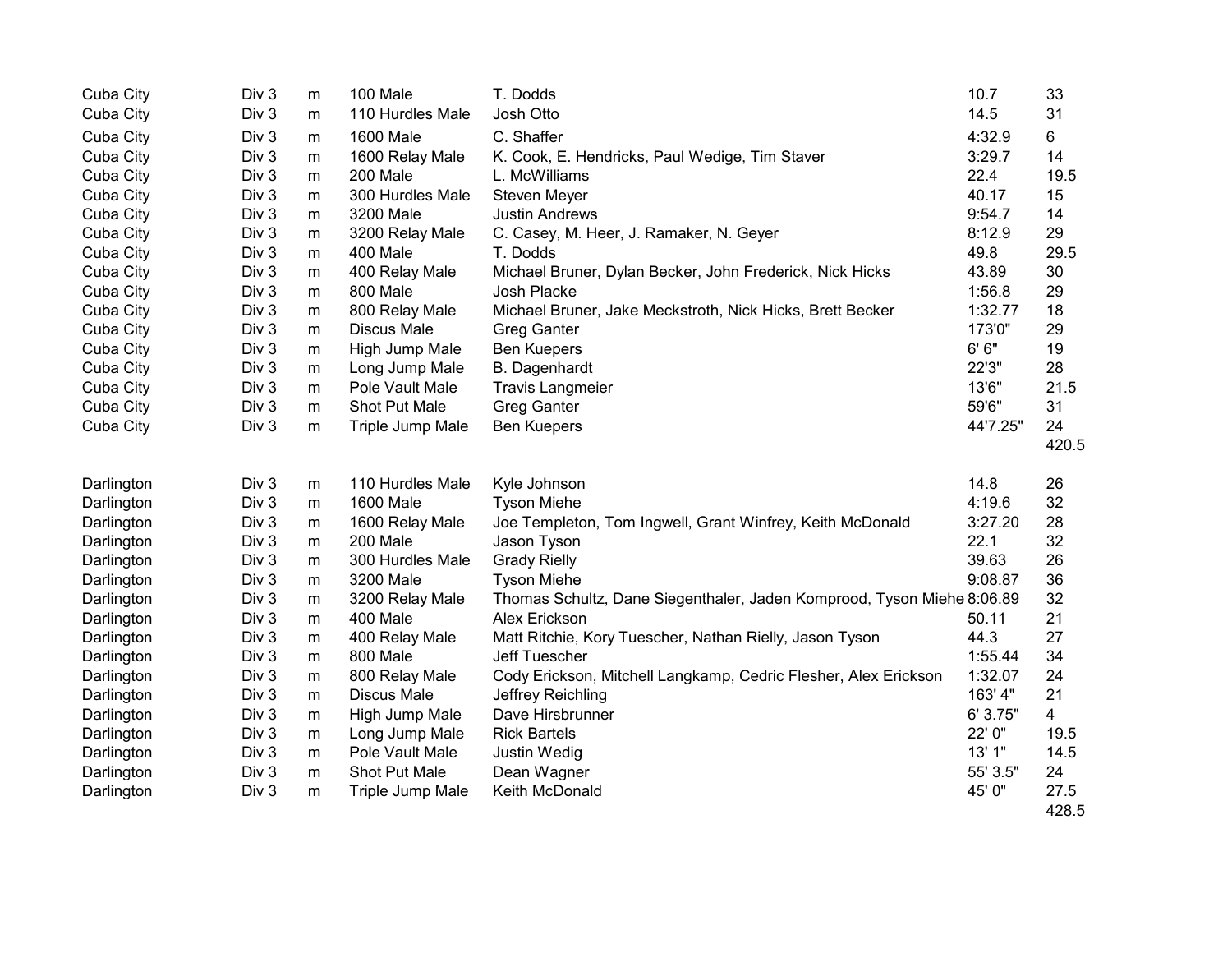| Cuba City  | Div 3            | m | 100 Male           | T. Dodds                                                               | 10.7     | 33             |
|------------|------------------|---|--------------------|------------------------------------------------------------------------|----------|----------------|
| Cuba City  | Div 3            | m | 110 Hurdles Male   | Josh Otto                                                              | 14.5     | 31             |
| Cuba City  | Div 3            | m | <b>1600 Male</b>   | C. Shaffer                                                             | 4:32.9   | $6\phantom{1}$ |
| Cuba City  | Div 3            | m | 1600 Relay Male    | K. Cook, E. Hendricks, Paul Wedige, Tim Staver                         | 3:29.7   | 14             |
| Cuba City  | Div 3            | m | 200 Male           | L. McWilliams                                                          | 22.4     | 19.5           |
| Cuba City  | Div 3            | m | 300 Hurdles Male   | Steven Meyer                                                           | 40.17    | 15             |
| Cuba City  | Div 3            | m | 3200 Male          | <b>Justin Andrews</b>                                                  | 9:54.7   | 14             |
| Cuba City  | Div 3            | m | 3200 Relay Male    | C. Casey, M. Heer, J. Ramaker, N. Geyer                                | 8:12.9   | 29             |
| Cuba City  | Div 3            | m | 400 Male           | T. Dodds                                                               | 49.8     | 29.5           |
| Cuba City  | Div 3            | m | 400 Relay Male     | Michael Bruner, Dylan Becker, John Frederick, Nick Hicks               | 43.89    | 30             |
| Cuba City  | Div 3            | m | 800 Male           | Josh Placke                                                            | 1:56.8   | 29             |
| Cuba City  | Div 3            | m | 800 Relay Male     | Michael Bruner, Jake Meckstroth, Nick Hicks, Brett Becker              | 1:32.77  | 18             |
| Cuba City  | Div 3            | m | <b>Discus Male</b> | <b>Greg Ganter</b>                                                     | 173'0"   | 29             |
| Cuba City  | Div 3            | m | High Jump Male     | <b>Ben Kuepers</b>                                                     | 6'6''    | 19             |
| Cuba City  | Div 3            | m | Long Jump Male     | <b>B.</b> Dagenhardt                                                   | 22'3"    | 28             |
| Cuba City  | Div 3            | m | Pole Vault Male    | <b>Travis Langmeier</b>                                                | 13'6"    | 21.5           |
| Cuba City  | Div 3            | m | Shot Put Male      | <b>Greg Ganter</b>                                                     | 59'6"    | 31             |
| Cuba City  | Div 3            | m | Triple Jump Male   | <b>Ben Kuepers</b>                                                     | 44'7.25" | 24             |
|            |                  |   |                    |                                                                        |          | 420.5          |
| Darlington | Div 3            | m | 110 Hurdles Male   | Kyle Johnson                                                           | 14.8     | 26             |
| Darlington | Div 3            | m | 1600 Male          | <b>Tyson Miehe</b>                                                     | 4:19.6   | 32             |
| Darlington | Div 3            | m | 1600 Relay Male    | Joe Templeton, Tom Ingwell, Grant Winfrey, Keith McDonald              | 3:27.20  | 28             |
| Darlington | Div 3            | m | 200 Male           | Jason Tyson                                                            | 22.1     | 32             |
| Darlington | Div 3            | m | 300 Hurdles Male   | <b>Grady Rielly</b>                                                    | 39.63    | 26             |
| Darlington | Div 3            | m | 3200 Male          | <b>Tyson Miehe</b>                                                     | 9:08.87  | 36             |
| Darlington | Div 3            | m | 3200 Relay Male    | Thomas Schultz, Dane Siegenthaler, Jaden Komprood, Tyson Miehe 8:06.89 |          | 32             |
| Darlington | Div 3            | m | 400 Male           | Alex Erickson                                                          | 50.11    | 21             |
| Darlington | Div 3            | m | 400 Relay Male     | Matt Ritchie, Kory Tuescher, Nathan Rielly, Jason Tyson                | 44.3     | 27             |
| Darlington | Div 3            | m | 800 Male           | Jeff Tuescher                                                          | 1:55.44  | 34             |
| Darlington | Div 3            | m | 800 Relay Male     | Cody Erickson, Mitchell Langkamp, Cedric Flesher, Alex Erickson        | 1:32.07  | 24             |
| Darlington | Div 3            | m | <b>Discus Male</b> | Jeffrey Reichling                                                      | 163' 4"  | 21             |
| Darlington | Div <sub>3</sub> | m | High Jump Male     | Dave Hirsbrunner                                                       | 6' 3.75" | 4              |
| Darlington | Div 3            | m | Long Jump Male     | <b>Rick Bartels</b>                                                    | 22' 0"   | 19.5           |
| Darlington | Div 3            | m | Pole Vault Male    | Justin Wedig                                                           | 13'1"    | 14.5           |
| Darlington | Div 3            | m | Shot Put Male      | Dean Wagner                                                            | 55' 3.5" | 24             |
| Darlington | Div 3            | m | Triple Jump Male   | Keith McDonald                                                         | 45' 0"   | 27.5<br>428.5  |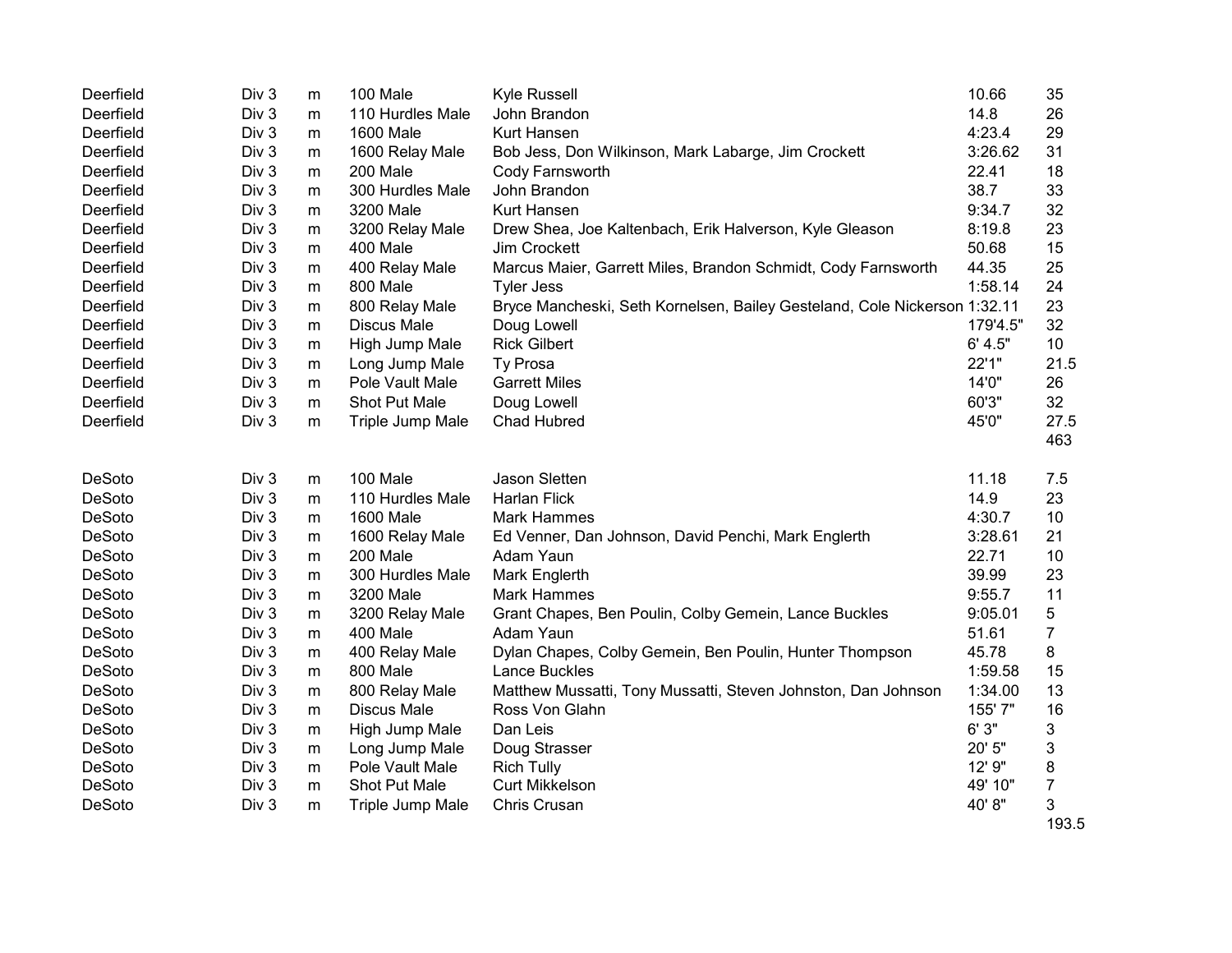| Deerfield | Div 3            | m         | 100 Male           | Kyle Russell                                                              | 10.66    | 35             |
|-----------|------------------|-----------|--------------------|---------------------------------------------------------------------------|----------|----------------|
| Deerfield | Div 3            | m         | 110 Hurdles Male   | John Brandon                                                              | 14.8     | 26             |
| Deerfield | Div 3            | m         | 1600 Male          | Kurt Hansen                                                               | 4:23.4   | 29             |
| Deerfield | Div 3            | m         | 1600 Relay Male    | Bob Jess, Don Wilkinson, Mark Labarge, Jim Crockett                       | 3:26.62  | 31             |
| Deerfield | Div 3            | m         | 200 Male           | Cody Farnsworth                                                           | 22.41    | 18             |
| Deerfield | Div <sub>3</sub> | m         | 300 Hurdles Male   | John Brandon                                                              | 38.7     | 33             |
| Deerfield | Div <sub>3</sub> | m         | 3200 Male          | <b>Kurt Hansen</b>                                                        | 9:34.7   | 32             |
| Deerfield | Div 3            | m         | 3200 Relay Male    | Drew Shea, Joe Kaltenbach, Erik Halverson, Kyle Gleason                   | 8:19.8   | 23             |
| Deerfield | Div 3            | m         | 400 Male           | Jim Crockett                                                              | 50.68    | 15             |
| Deerfield | Div 3            | m         | 400 Relay Male     | Marcus Maier, Garrett Miles, Brandon Schmidt, Cody Farnsworth             | 44.35    | 25             |
| Deerfield | Div 3            | m         | 800 Male           | <b>Tyler Jess</b>                                                         | 1:58.14  | 24             |
| Deerfield | Div 3            | m         | 800 Relay Male     | Bryce Mancheski, Seth Kornelsen, Bailey Gesteland, Cole Nickerson 1:32.11 |          | 23             |
| Deerfield | Div 3            | m         | <b>Discus Male</b> | Doug Lowell                                                               | 179'4.5" | 32             |
| Deerfield | Div 3            | m         | High Jump Male     | <b>Rick Gilbert</b>                                                       | 6' 4.5"  | 10             |
| Deerfield | Div 3            | m         | Long Jump Male     | Ty Prosa                                                                  | 22'1"    | 21.5           |
| Deerfield | Div <sub>3</sub> | m         | Pole Vault Male    | <b>Garrett Miles</b>                                                      | 14'0"    | 26             |
| Deerfield | Div 3            | m         | Shot Put Male      | Doug Lowell                                                               | 60'3"    | 32             |
| Deerfield | Div 3            | m         | Triple Jump Male   | Chad Hubred                                                               | 45'0"    | 27.5           |
|           |                  |           |                    |                                                                           |          | 463            |
|           |                  |           |                    |                                                                           |          |                |
|           |                  |           |                    |                                                                           |          |                |
| DeSoto    | Div 3            | m         | 100 Male           | Jason Sletten                                                             | 11.18    | 7.5            |
| DeSoto    | Div 3            | m         | 110 Hurdles Male   | <b>Harlan Flick</b>                                                       | 14.9     | 23             |
| DeSoto    | Div 3            | m         | <b>1600 Male</b>   | <b>Mark Hammes</b>                                                        | 4:30.7   | 10             |
| DeSoto    | Div 3            | m         | 1600 Relay Male    | Ed Venner, Dan Johnson, David Penchi, Mark Englerth                       | 3:28.61  | 21             |
| DeSoto    | Div 3            | ${\sf m}$ | 200 Male           | Adam Yaun                                                                 | 22.71    | 10             |
| DeSoto    | Div 3            | m         | 300 Hurdles Male   | Mark Englerth                                                             | 39.99    | 23             |
| DeSoto    | Div <sub>3</sub> | m         | 3200 Male          | <b>Mark Hammes</b>                                                        | 9:55.7   | 11             |
| DeSoto    | Div 3            | m         | 3200 Relay Male    | Grant Chapes, Ben Poulin, Colby Gemein, Lance Buckles                     | 9:05.01  | 5              |
| DeSoto    | Div 3            | m         | 400 Male           | Adam Yaun                                                                 | 51.61    | $\overline{7}$ |
| DeSoto    | Div 3            | m         | 400 Relay Male     | Dylan Chapes, Colby Gemein, Ben Poulin, Hunter Thompson                   | 45.78    | 8              |
| DeSoto    | Div 3            | ${\sf m}$ | 800 Male           | Lance Buckles                                                             | 1:59.58  | 15             |
| DeSoto    | Div <sub>3</sub> | m         | 800 Relay Male     | Matthew Mussatti, Tony Mussatti, Steven Johnston, Dan Johnson             | 1:34.00  | 13             |
| DeSoto    | Div <sub>3</sub> | m         | <b>Discus Male</b> | Ross Von Glahn                                                            | 155' 7"  | 16             |
| DeSoto    | Div <sub>3</sub> | m         | High Jump Male     | Dan Leis                                                                  | 6'3''    | 3              |
| DeSoto    | Div 3            | m         | Long Jump Male     | Doug Strasser                                                             | 20' 5"   | 3              |
| DeSoto    | Div 3            | ${\sf m}$ | Pole Vault Male    | <b>Rich Tully</b>                                                         | 12' 9"   | 8              |
| DeSoto    | Div 3            | m         | Shot Put Male      | Curt Mikkelson                                                            | 49' 10"  | $\overline{7}$ |
| DeSoto    | Div 3            | m         | Triple Jump Male   | Chris Crusan                                                              | 40'8"    | 3<br>193.5     |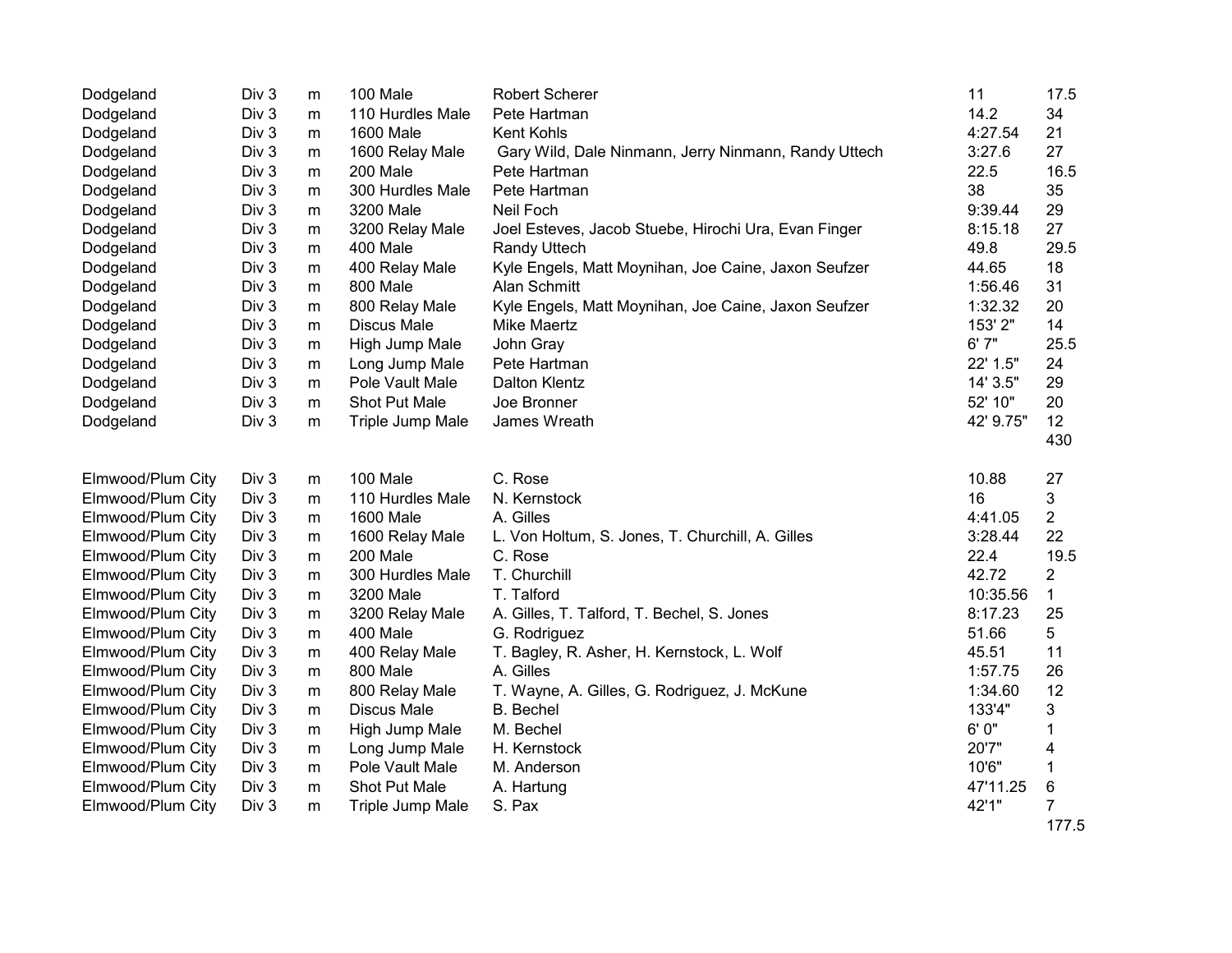| Dodgeland         | Div <sub>3</sub> | m         | 100 Male           | <b>Robert Scherer</b>                                | 11        | 17.5           |
|-------------------|------------------|-----------|--------------------|------------------------------------------------------|-----------|----------------|
| Dodgeland         | Div 3            | m         | 110 Hurdles Male   | Pete Hartman                                         | 14.2      | 34             |
| Dodgeland         | Div 3            | ${\sf m}$ | 1600 Male          | Kent Kohls                                           | 4:27.54   | 21             |
| Dodgeland         | Div 3            | ${\sf m}$ | 1600 Relay Male    | Gary Wild, Dale Ninmann, Jerry Ninmann, Randy Uttech | 3:27.6    | 27             |
| Dodgeland         | Div 3            | m         | 200 Male           | Pete Hartman                                         | 22.5      | 16.5           |
| Dodgeland         | Div 3            | m         | 300 Hurdles Male   | Pete Hartman                                         | 38        | 35             |
| Dodgeland         | Div 3            | m         | 3200 Male          | Neil Foch                                            | 9:39.44   | 29             |
| Dodgeland         | Div 3            | m         | 3200 Relay Male    | Joel Esteves, Jacob Stuebe, Hirochi Ura, Evan Finger | 8:15.18   | 27             |
| Dodgeland         | Div 3            | m         | 400 Male           | <b>Randy Uttech</b>                                  | 49.8      | 29.5           |
| Dodgeland         | Div 3            | m         | 400 Relay Male     | Kyle Engels, Matt Moynihan, Joe Caine, Jaxon Seufzer | 44.65     | 18             |
| Dodgeland         | Div 3            | ${\sf m}$ | 800 Male           | Alan Schmitt                                         | 1:56.46   | 31             |
| Dodgeland         | Div 3            | m         | 800 Relay Male     | Kyle Engels, Matt Moynihan, Joe Caine, Jaxon Seufzer | 1:32.32   | 20             |
| Dodgeland         | Div 3            | m         | <b>Discus Male</b> | <b>Mike Maertz</b>                                   | 153' 2"   | 14             |
| Dodgeland         | Div 3            | m         | High Jump Male     | John Gray                                            | 6'7''     | 25.5           |
| Dodgeland         | Div 3            | m         | Long Jump Male     | Pete Hartman                                         | 22' 1.5"  | 24             |
| Dodgeland         | Div 3            | m         | Pole Vault Male    | Dalton Klentz                                        | 14' 3.5"  | 29             |
| Dodgeland         | Div 3            | m         | Shot Put Male      | Joe Bronner                                          | 52' 10"   | 20             |
| Dodgeland         | Div 3            | m         | Triple Jump Male   | James Wreath                                         | 42' 9.75" | 12             |
|                   |                  |           |                    |                                                      |           | 430            |
|                   |                  |           |                    |                                                      |           |                |
| Elmwood/Plum City | Div 3            | m         | 100 Male           | C. Rose                                              | 10.88     | 27             |
| Elmwood/Plum City | Div 3            | m         | 110 Hurdles Male   | N. Kernstock                                         | 16        | 3              |
| Elmwood/Plum City | Div 3            | m         | <b>1600 Male</b>   | A. Gilles                                            | 4:41.05   | $\overline{2}$ |
| Elmwood/Plum City | Div 3            | m         | 1600 Relay Male    | L. Von Holtum, S. Jones, T. Churchill, A. Gilles     | 3:28.44   | 22             |
| Elmwood/Plum City |                  |           |                    |                                                      |           | 19.5           |
|                   | Div 3            | m         | 200 Male           | C. Rose                                              | 22.4      |                |
| Elmwood/Plum City | Div 3            | ${\sf m}$ | 300 Hurdles Male   | T. Churchill                                         | 42.72     | $\overline{2}$ |
| Elmwood/Plum City | Div 3            | ${\sf m}$ | 3200 Male          | T. Talford                                           | 10:35.56  | $\mathbf{1}$   |
| Elmwood/Plum City | Div 3            | m         | 3200 Relay Male    | A. Gilles, T. Talford, T. Bechel, S. Jones           | 8:17.23   | 25             |
| Elmwood/Plum City | Div 3            | m         | 400 Male           | G. Rodriguez                                         | 51.66     | 5              |
| Elmwood/Plum City | Div 3            | m         | 400 Relay Male     | T. Bagley, R. Asher, H. Kernstock, L. Wolf           | 45.51     | 11             |
| Elmwood/Plum City | Div 3            | m         | 800 Male           | A. Gilles                                            | 1:57.75   | 26             |
| Elmwood/Plum City | Div 3            | m         | 800 Relay Male     | T. Wayne, A. Gilles, G. Rodriguez, J. McKune         | 1:34.60   | 12             |
| Elmwood/Plum City | Div 3            | ${\sf m}$ | <b>Discus Male</b> | <b>B.</b> Bechel                                     | 133'4"    | 3              |
| Elmwood/Plum City | Div 3            | m         | High Jump Male     | M. Bechel                                            | 6' 0"     | 1              |
| Elmwood/Plum City | Div 3            | m         | Long Jump Male     | H. Kernstock                                         | 20'7"     | 4              |
| Elmwood/Plum City | Div 3            | m         | Pole Vault Male    | M. Anderson                                          | 10'6"     | 1              |
| Elmwood/Plum City | Div 3            | m         | Shot Put Male      | A. Hartung                                           | 47'11.25  | 6              |
| Elmwood/Plum City | Div 3            | m         | Triple Jump Male   | S. Pax                                               | 42'1"     | 7<br>177.5     |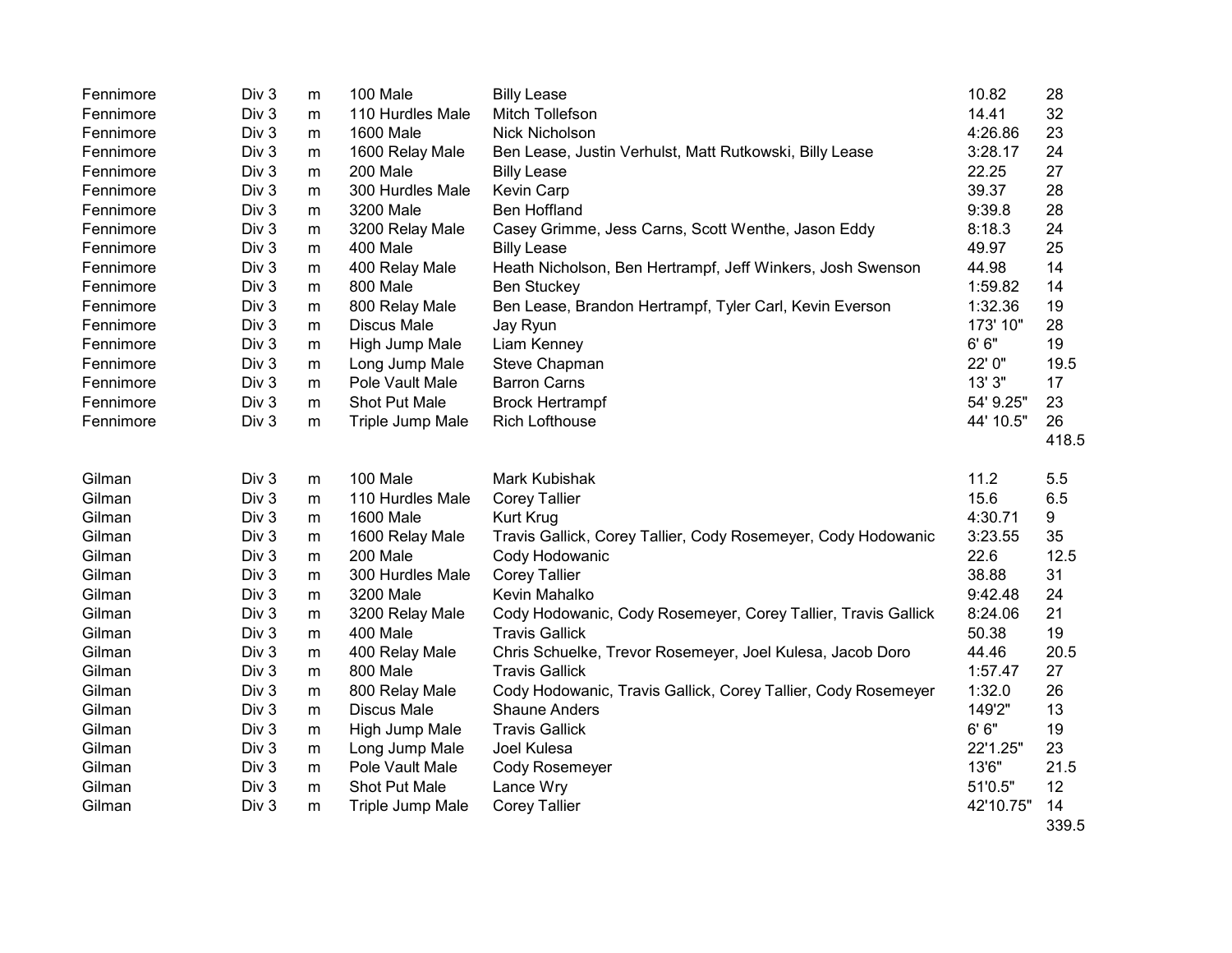| Fennimore | Div <sub>3</sub> | m         | 100 Male           | <b>Billy Lease</b>                                            | 10.82     | 28          |
|-----------|------------------|-----------|--------------------|---------------------------------------------------------------|-----------|-------------|
| Fennimore | Div <sub>3</sub> | m         | 110 Hurdles Male   | Mitch Tollefson                                               | 14.41     | 32          |
| Fennimore | Div 3            | ${\sf m}$ | <b>1600 Male</b>   | Nick Nicholson                                                | 4:26.86   | 23          |
| Fennimore | Div 3            | m         | 1600 Relay Male    | Ben Lease, Justin Verhulst, Matt Rutkowski, Billy Lease       | 3:28.17   | 24          |
| Fennimore | Div 3            | m         | 200 Male           | <b>Billy Lease</b>                                            | 22.25     | 27          |
| Fennimore | Div <sub>3</sub> | m         | 300 Hurdles Male   | Kevin Carp                                                    | 39.37     | 28          |
| Fennimore | Div 3            | m         | 3200 Male          | <b>Ben Hoffland</b>                                           | 9:39.8    | 28          |
| Fennimore | Div 3            | m         | 3200 Relay Male    | Casey Grimme, Jess Carns, Scott Wenthe, Jason Eddy            | 8:18.3    | 24          |
| Fennimore | Div 3            | m         | 400 Male           | <b>Billy Lease</b>                                            | 49.97     | 25          |
| Fennimore | Div 3            | ${\sf m}$ | 400 Relay Male     | Heath Nicholson, Ben Hertrampf, Jeff Winkers, Josh Swenson    | 44.98     | 14          |
| Fennimore | Div 3            | m         | 800 Male           | <b>Ben Stuckey</b>                                            | 1:59.82   | 14          |
| Fennimore | Div 3            | m         | 800 Relay Male     | Ben Lease, Brandon Hertrampf, Tyler Carl, Kevin Everson       | 1:32.36   | 19          |
| Fennimore | Div 3            | m         | <b>Discus Male</b> | Jay Ryun                                                      | 173' 10"  | 28          |
| Fennimore | Div 3            | m         | High Jump Male     | Liam Kenney                                                   | 6'6''     | 19          |
| Fennimore | Div 3            | m         | Long Jump Male     | Steve Chapman                                                 | 22' 0"    | 19.5        |
| Fennimore | Div 3            | m         | Pole Vault Male    | <b>Barron Carns</b>                                           | 13' 3"    | 17          |
| Fennimore | Div 3            | m         | Shot Put Male      | <b>Brock Hertrampf</b>                                        | 54' 9.25" | 23          |
| Fennimore | Div 3            | m         | Triple Jump Male   | <b>Rich Lofthouse</b>                                         | 44' 10.5" | 26          |
|           |                  |           |                    |                                                               |           | 418.5       |
| Gilman    | Div <sub>3</sub> | m         | 100 Male           | Mark Kubishak                                                 | 11.2      | 5.5         |
| Gilman    | Div 3            | m         | 110 Hurdles Male   | <b>Corey Tallier</b>                                          | 15.6      | 6.5         |
| Gilman    | Div 3            | m         | <b>1600 Male</b>   | Kurt Krug                                                     | 4:30.71   | 9           |
| Gilman    | Div 3            | m         | 1600 Relay Male    | Travis Gallick, Corey Tallier, Cody Rosemeyer, Cody Hodowanic | 3:23.55   | 35          |
| Gilman    | Div 3            | m         | 200 Male           | Cody Hodowanic                                                | 22.6      | 12.5        |
| Gilman    | Div 3            | ${\sf m}$ | 300 Hurdles Male   | <b>Corey Tallier</b>                                          | 38.88     | 31          |
| Gilman    | Div 3            | m         | 3200 Male          | Kevin Mahalko                                                 | 9:42.48   | 24          |
| Gilman    | Div 3            | m         | 3200 Relay Male    | Cody Hodowanic, Cody Rosemeyer, Corey Tallier, Travis Gallick | 8:24.06   | 21          |
| Gilman    | Div 3            | m         | 400 Male           | <b>Travis Gallick</b>                                         | 50.38     | 19          |
| Gilman    | Div 3            | m         | 400 Relay Male     | Chris Schuelke, Trevor Rosemeyer, Joel Kulesa, Jacob Doro     | 44.46     | 20.5        |
| Gilman    | Div 3            | m         | 800 Male           | <b>Travis Gallick</b>                                         | 1:57.47   | 27          |
| Gilman    | Div 3            | m         | 800 Relay Male     | Cody Hodowanic, Travis Gallick, Corey Tallier, Cody Rosemeyer | 1:32.0    | 26          |
| Gilman    | Div 3            | ${\sf m}$ | <b>Discus Male</b> | <b>Shaune Anders</b>                                          | 149'2"    | 13          |
| Gilman    | Div 3            | m         | High Jump Male     | <b>Travis Gallick</b>                                         | 6' 6''    | 19          |
| Gilman    | Div 3            | m         | Long Jump Male     | Joel Kulesa                                                   | 22'1.25"  | 23          |
| Gilman    | Div 3            | m         | Pole Vault Male    | Cody Rosemeyer                                                | 13'6"     | 21.5        |
| Gilman    | Div 3            | m         | Shot Put Male      | Lance Wry                                                     | 51'0.5"   | 12          |
| Gilman    | Div 3            | m         | Triple Jump Male   | <b>Corey Tallier</b>                                          | 42'10.75" | 14<br>339.5 |
|           |                  |           |                    |                                                               |           |             |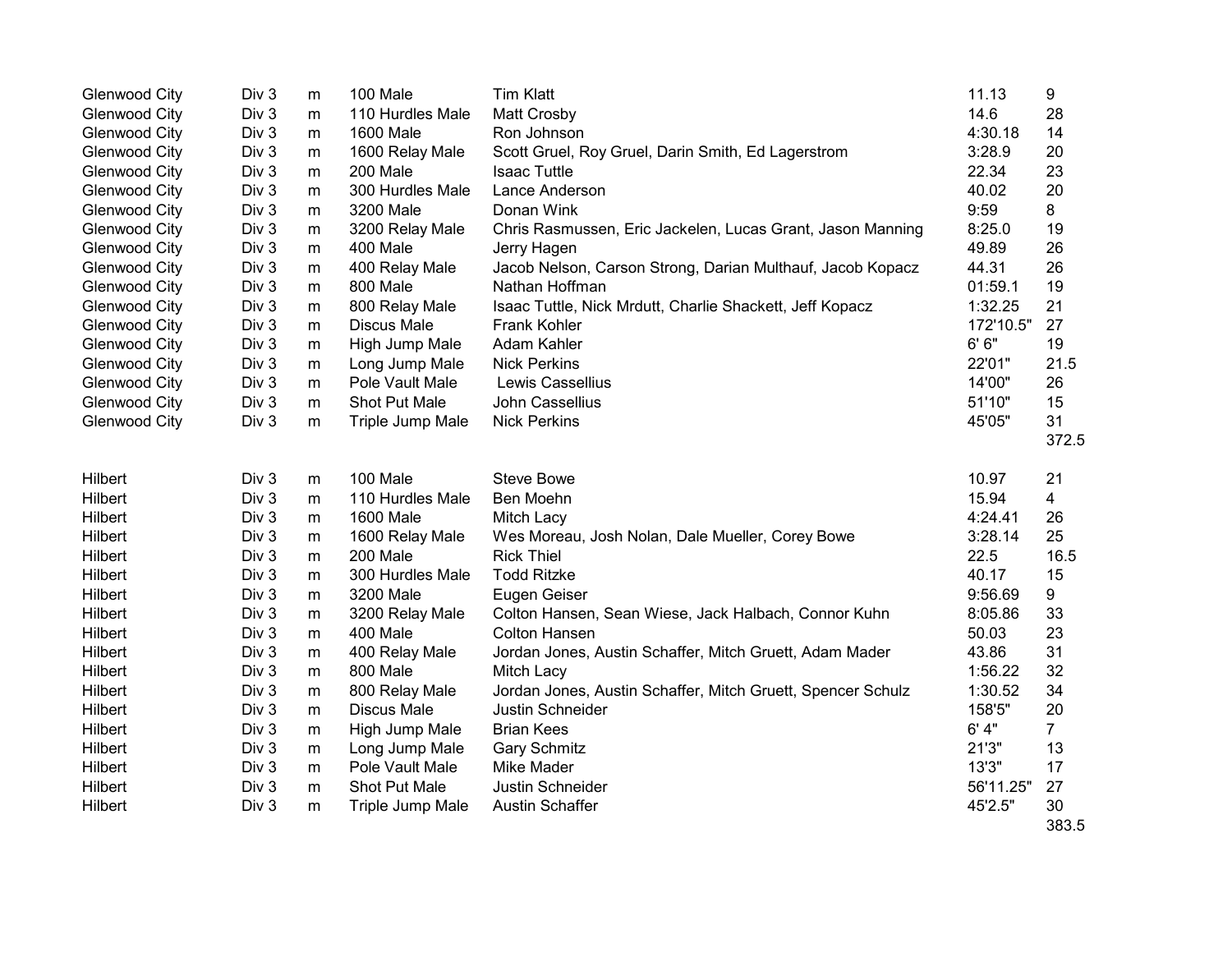| <b>Glenwood City</b> | Div 3 | m         | 100 Male           | <b>Tim Klatt</b>                                            | 11.13     | 9              |
|----------------------|-------|-----------|--------------------|-------------------------------------------------------------|-----------|----------------|
| <b>Glenwood City</b> | Div 3 | m         | 110 Hurdles Male   | <b>Matt Crosby</b>                                          | 14.6      | 28             |
| <b>Glenwood City</b> | Div 3 | ${\sf m}$ | 1600 Male          | Ron Johnson                                                 | 4:30.18   | 14             |
| <b>Glenwood City</b> | Div 3 | m         | 1600 Relay Male    | Scott Gruel, Roy Gruel, Darin Smith, Ed Lagerstrom          | 3:28.9    | 20             |
| Glenwood City        | Div 3 | m         | 200 Male           | <b>Isaac Tuttle</b>                                         | 22.34     | 23             |
| Glenwood City        | Div 3 | m         | 300 Hurdles Male   | Lance Anderson                                              | 40.02     | 20             |
| Glenwood City        | Div 3 | m         | 3200 Male          | Donan Wink                                                  | 9:59      | 8              |
| <b>Glenwood City</b> | Div 3 | m         | 3200 Relay Male    | Chris Rasmussen, Eric Jackelen, Lucas Grant, Jason Manning  | 8:25.0    | 19             |
| <b>Glenwood City</b> | Div 3 | m         | 400 Male           | Jerry Hagen                                                 | 49.89     | 26             |
| <b>Glenwood City</b> | Div 3 | m         | 400 Relay Male     | Jacob Nelson, Carson Strong, Darian Multhauf, Jacob Kopacz  | 44.31     | 26             |
| Glenwood City        | Div 3 | m         | 800 Male           | Nathan Hoffman                                              | 01:59.1   | 19             |
| <b>Glenwood City</b> | Div 3 | m         | 800 Relay Male     | Isaac Tuttle, Nick Mrdutt, Charlie Shackett, Jeff Kopacz    | 1:32.25   | 21             |
| <b>Glenwood City</b> | Div 3 | m         | <b>Discus Male</b> | Frank Kohler                                                | 172'10.5" | 27             |
| <b>Glenwood City</b> | Div 3 | m         | High Jump Male     | Adam Kahler                                                 | 6' 6''    | 19             |
| <b>Glenwood City</b> | Div 3 | m         | Long Jump Male     | <b>Nick Perkins</b>                                         | 22'01"    | 21.5           |
| <b>Glenwood City</b> | Div 3 | ${\sf m}$ | Pole Vault Male    | Lewis Cassellius                                            | 14'00"    | 26             |
| Glenwood City        | Div 3 | m         | Shot Put Male      | John Cassellius                                             | 51'10"    | 15             |
| <b>Glenwood City</b> | Div 3 | m         | Triple Jump Male   | <b>Nick Perkins</b>                                         | 45'05"    | 31             |
|                      |       |           |                    |                                                             |           | 372.5          |
| Hilbert              | Div 3 | m         | 100 Male           | <b>Steve Bowe</b>                                           | 10.97     | 21             |
| Hilbert              | Div 3 | m         | 110 Hurdles Male   | Ben Moehn                                                   | 15.94     | 4              |
| Hilbert              | Div 3 | m         | <b>1600 Male</b>   | Mitch Lacy                                                  | 4:24.41   | 26             |
| Hilbert              | Div 3 | m         | 1600 Relay Male    | Wes Moreau, Josh Nolan, Dale Mueller, Corey Bowe            | 3:28.14   | 25             |
| Hilbert              | Div 3 | m         | 200 Male           | <b>Rick Thiel</b>                                           | 22.5      | 16.5           |
| Hilbert              | Div 3 | m         | 300 Hurdles Male   | <b>Todd Ritzke</b>                                          | 40.17     | 15             |
| Hilbert              | Div 3 | m         | 3200 Male          | Eugen Geiser                                                | 9:56.69   | 9              |
| Hilbert              | Div 3 | m         | 3200 Relay Male    | Colton Hansen, Sean Wiese, Jack Halbach, Connor Kuhn        | 8:05.86   | 33             |
| Hilbert              | Div 3 | ${\sf m}$ | 400 Male           | <b>Colton Hansen</b>                                        | 50.03     | 23             |
| Hilbert              | Div 3 | m         | 400 Relay Male     | Jordan Jones, Austin Schaffer, Mitch Gruett, Adam Mader     | 43.86     | 31             |
| Hilbert              | Div 3 | m         | 800 Male           | Mitch Lacy                                                  | 1:56.22   | 32             |
| Hilbert              | Div 3 | m         | 800 Relay Male     | Jordan Jones, Austin Schaffer, Mitch Gruett, Spencer Schulz | 1:30.52   | 34             |
| Hilbert              | Div 3 | m         | <b>Discus Male</b> | Justin Schneider                                            | 158'5"    | 20             |
| Hilbert              | Div 3 | m         | High Jump Male     | <b>Brian Kees</b>                                           | 6' 4"     | $\overline{7}$ |
| Hilbert              | Div 3 | m         | Long Jump Male     | <b>Gary Schmitz</b>                                         | 21'3"     | 13             |
| Hilbert              | Div 3 | m         | Pole Vault Male    | <b>Mike Mader</b>                                           | 13'3"     | 17             |
| Hilbert              | Div 3 | m         | Shot Put Male      | Justin Schneider                                            | 56'11.25" | 27             |
| Hilbert              | Div 3 | m         | Triple Jump Male   | <b>Austin Schaffer</b>                                      | 45'2.5"   | 30             |
|                      |       |           |                    |                                                             |           | 383.5          |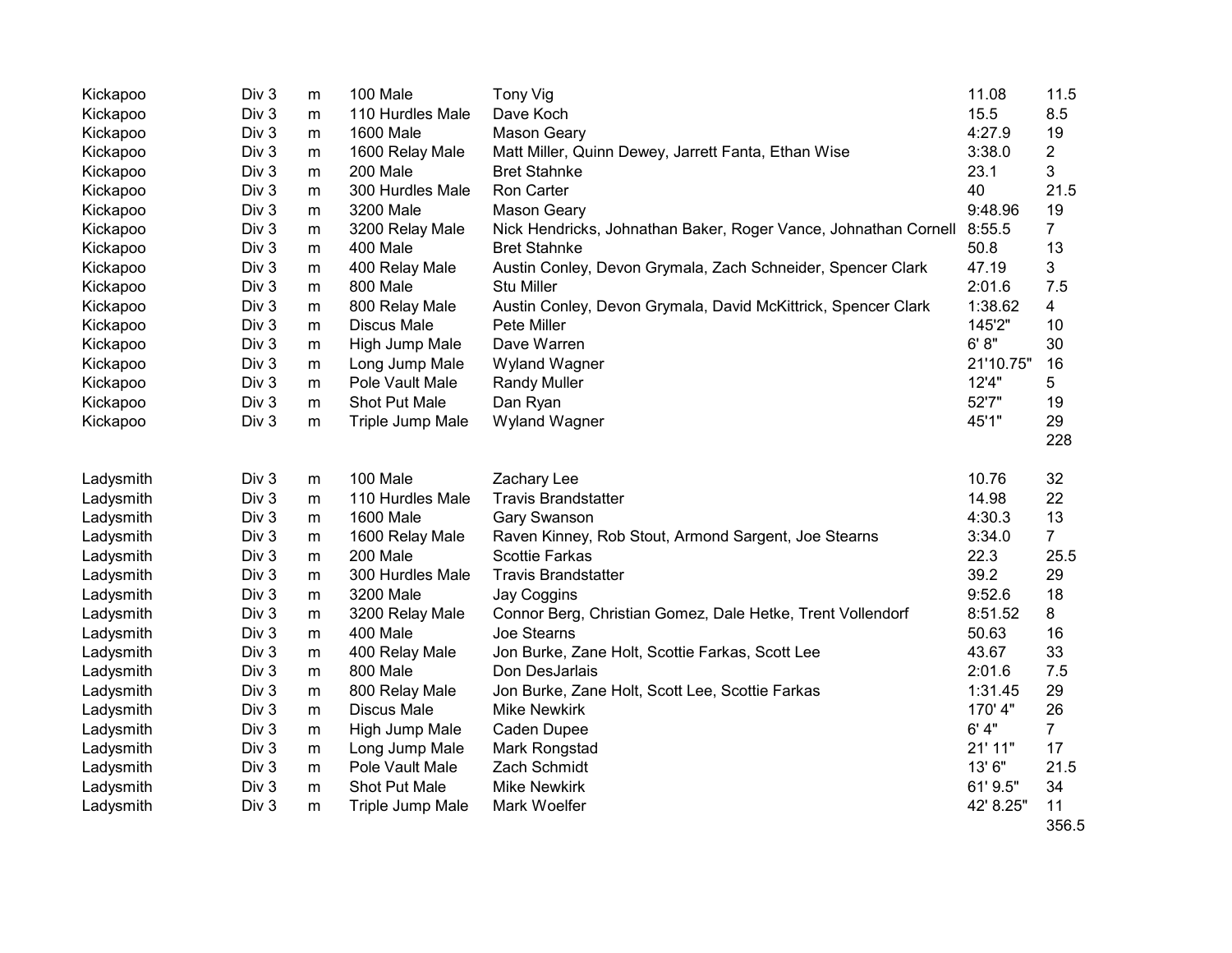| Kickapoo  | Div 3 | m         | 100 Male           | <b>Tony Vig</b>                                                 | 11.08     | 11.5           |
|-----------|-------|-----------|--------------------|-----------------------------------------------------------------|-----------|----------------|
| Kickapoo  | Div 3 | m         | 110 Hurdles Male   | Dave Koch                                                       | 15.5      | 8.5            |
| Kickapoo  | Div 3 | ${\sf m}$ | <b>1600 Male</b>   | Mason Geary                                                     | 4:27.9    | 19             |
| Kickapoo  | Div 3 | m         | 1600 Relay Male    | Matt Miller, Quinn Dewey, Jarrett Fanta, Ethan Wise             | 3:38.0    | $\overline{2}$ |
| Kickapoo  | Div 3 | m         | 200 Male           | <b>Bret Stahnke</b>                                             | 23.1      | 3              |
| Kickapoo  | Div 3 | m         | 300 Hurdles Male   | Ron Carter                                                      | 40        | 21.5           |
| Kickapoo  | Div 3 | m         | 3200 Male          | <b>Mason Geary</b>                                              | 9:48.96   | 19             |
| Kickapoo  | Div 3 | m         | 3200 Relay Male    | Nick Hendricks, Johnathan Baker, Roger Vance, Johnathan Cornell | 8:55.5    | $\overline{7}$ |
| Kickapoo  | Div 3 | ${\sf m}$ | 400 Male           | <b>Bret Stahnke</b>                                             | 50.8      | 13             |
| Kickapoo  | Div 3 | m         | 400 Relay Male     | Austin Conley, Devon Grymala, Zach Schneider, Spencer Clark     | 47.19     | 3              |
| Kickapoo  | Div 3 | m         | 800 Male           | <b>Stu Miller</b>                                               | 2:01.6    | 7.5            |
| Kickapoo  | Div 3 | m         | 800 Relay Male     | Austin Conley, Devon Grymala, David McKittrick, Spencer Clark   | 1:38.62   | 4              |
| Kickapoo  | Div 3 | m         | <b>Discus Male</b> | Pete Miller                                                     | 145'2"    | 10             |
| Kickapoo  | Div 3 | m         | High Jump Male     | Dave Warren                                                     | 6' 8''    | 30             |
| Kickapoo  | Div 3 | m         | Long Jump Male     | Wyland Wagner                                                   | 21'10.75" | 16             |
| Kickapoo  | Div 3 | m         | Pole Vault Male    | <b>Randy Muller</b>                                             | 12'4"     | 5              |
| Kickapoo  | Div 3 | m         | Shot Put Male      | Dan Ryan                                                        | 52'7"     | 19             |
| Kickapoo  | Div 3 | m         | Triple Jump Male   | Wyland Wagner                                                   | 45'1"     | 29             |
|           |       |           |                    |                                                                 |           | 228            |
|           |       |           |                    |                                                                 |           |                |
| Ladysmith | Div 3 | m         | 100 Male           | Zachary Lee                                                     | 10.76     | 32             |
| Ladysmith | Div 3 | m         | 110 Hurdles Male   | <b>Travis Brandstatter</b>                                      | 14.98     | 22             |
| Ladysmith | Div 3 | m         | <b>1600 Male</b>   | Gary Swanson                                                    | 4:30.3    | 13             |
| Ladysmith | Div 3 | m         | 1600 Relay Male    | Raven Kinney, Rob Stout, Armond Sargent, Joe Stearns            | 3:34.0    | $\overline{7}$ |
| Ladysmith | Div 3 | ${\sf m}$ | 200 Male           | <b>Scottie Farkas</b>                                           | 22.3      | 25.5           |
| Ladysmith | Div 3 | m         | 300 Hurdles Male   | <b>Travis Brandstatter</b>                                      | 39.2      | 29             |
| Ladysmith | Div 3 | m         | 3200 Male          | Jay Coggins                                                     | 9:52.6    | 18             |
| Ladysmith | Div 3 | m         | 3200 Relay Male    | Connor Berg, Christian Gomez, Dale Hetke, Trent Vollendorf      | 8:51.52   | 8              |
| Ladysmith | Div 3 | m         | 400 Male           | Joe Stearns                                                     | 50.63     | 16             |
| Ladysmith | Div 3 | m         | 400 Relay Male     | Jon Burke, Zane Holt, Scottie Farkas, Scott Lee                 | 43.67     | 33             |
| Ladysmith | Div 3 | m         | 800 Male           | Don DesJarlais                                                  | 2:01.6    | 7.5            |
| Ladysmith | Div 3 | m         | 800 Relay Male     | Jon Burke, Zane Holt, Scott Lee, Scottie Farkas                 | 1:31.45   | 29             |
| Ladysmith | Div 3 | m         | <b>Discus Male</b> | <b>Mike Newkirk</b>                                             | 170' 4"   | 26             |
| Ladysmith | Div 3 | m         | High Jump Male     | Caden Dupee                                                     | 6'4"      | $\overline{7}$ |
| Ladysmith | Div 3 | ${\sf m}$ | Long Jump Male     | Mark Rongstad                                                   | 21' 11"   | 17             |
| Ladysmith | Div 3 | ${\sf m}$ | Pole Vault Male    | Zach Schmidt                                                    | 13'6"     | 21.5           |
| Ladysmith | Div 3 | m         | Shot Put Male      | <b>Mike Newkirk</b>                                             | 61' 9.5"  | 34             |
| Ladysmith | Div 3 | m         | Triple Jump Male   | Mark Woelfer                                                    | 42' 8.25" | 11             |
|           |       |           |                    |                                                                 |           | 356.5          |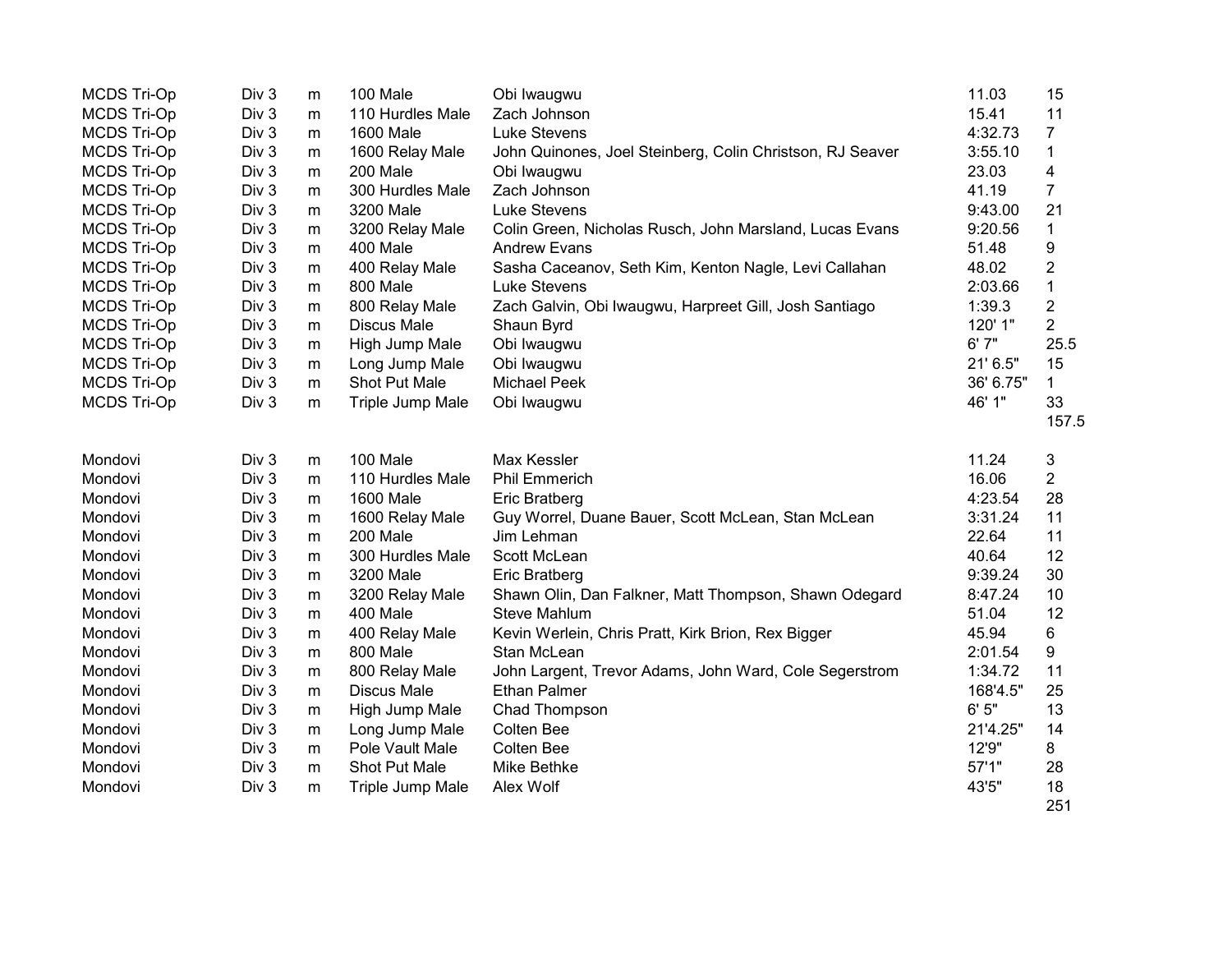| <b>MCDS Tri-Op</b> | Div 3 | m | 100 Male           | Obi Iwaugwu                                               | 11.03     | 15               |
|--------------------|-------|---|--------------------|-----------------------------------------------------------|-----------|------------------|
| <b>MCDS Tri-Op</b> | Div 3 | m | 110 Hurdles Male   | Zach Johnson                                              | 15.41     | 11               |
| <b>MCDS Tri-Op</b> | Div 3 | m | 1600 Male          | Luke Stevens                                              | 4:32.73   | $\overline{7}$   |
| <b>MCDS Tri-Op</b> | Div 3 | m | 1600 Relay Male    | John Quinones, Joel Steinberg, Colin Christson, RJ Seaver | 3:55.10   | $\mathbf 1$      |
| <b>MCDS Tri-Op</b> | Div 3 | m | 200 Male           | Obi Iwaugwu                                               | 23.03     | 4                |
| <b>MCDS Tri-Op</b> | Div 3 | m | 300 Hurdles Male   | Zach Johnson                                              | 41.19     | $\overline{7}$   |
| <b>MCDS Tri-Op</b> | Div 3 | m | 3200 Male          | <b>Luke Stevens</b>                                       | 9:43.00   | 21               |
| <b>MCDS Tri-Op</b> | Div 3 | m | 3200 Relay Male    | Colin Green, Nicholas Rusch, John Marsland, Lucas Evans   | 9:20.56   | $\mathbf{1}$     |
| <b>MCDS Tri-Op</b> | Div 3 | m | 400 Male           | <b>Andrew Evans</b>                                       | 51.48     | $\boldsymbol{9}$ |
| <b>MCDS Tri-Op</b> | Div 3 | m | 400 Relay Male     | Sasha Caceanov, Seth Kim, Kenton Nagle, Levi Callahan     | 48.02     | $\overline{2}$   |
| <b>MCDS Tri-Op</b> | Div 3 | m | 800 Male           | <b>Luke Stevens</b>                                       | 2:03.66   | $\mathbf{1}$     |
| <b>MCDS Tri-Op</b> | Div 3 | m | 800 Relay Male     | Zach Galvin, Obi Iwaugwu, Harpreet Gill, Josh Santiago    | 1:39.3    | $\overline{c}$   |
| <b>MCDS Tri-Op</b> | Div 3 | m | <b>Discus Male</b> | Shaun Byrd                                                | 120' 1"   | $\overline{2}$   |
| <b>MCDS Tri-Op</b> | Div 3 | m | High Jump Male     | Obi Iwaugwu                                               | 6'7''     | 25.5             |
| <b>MCDS Tri-Op</b> | Div 3 | m | Long Jump Male     | Obi Iwaugwu                                               | 21' 6.5"  | 15               |
| <b>MCDS Tri-Op</b> | Div 3 | m | Shot Put Male      | <b>Michael Peek</b>                                       | 36' 6.75" | 1.               |
| <b>MCDS Tri-Op</b> | Div 3 | m | Triple Jump Male   | Obi Iwaugwu                                               | 46' 1"    | 33               |
|                    |       |   |                    |                                                           |           | 157.5            |
| Mondovi            | Div 3 | m | 100 Male           | Max Kessler                                               | 11.24     | 3                |
| Mondovi            | Div 3 | m | 110 Hurdles Male   | <b>Phil Emmerich</b>                                      | 16.06     | $\overline{2}$   |
| Mondovi            | Div 3 | m | 1600 Male          | Eric Bratberg                                             | 4:23.54   | 28               |
| Mondovi            | Div 3 | m | 1600 Relay Male    | Guy Worrel, Duane Bauer, Scott McLean, Stan McLean        | 3:31.24   | 11               |
| Mondovi            | Div 3 | m | 200 Male           | Jim Lehman                                                | 22.64     | 11               |
| Mondovi            | Div 3 | m | 300 Hurdles Male   | Scott McLean                                              | 40.64     | 12               |
| Mondovi            | Div 3 | m | 3200 Male          | Eric Bratberg                                             | 9:39.24   | 30               |
| Mondovi            | Div 3 | m | 3200 Relay Male    | Shawn Olin, Dan Falkner, Matt Thompson, Shawn Odegard     | 8:47.24   | 10               |
| Mondovi            | Div 3 | m | 400 Male           | <b>Steve Mahlum</b>                                       | 51.04     | 12               |
| Mondovi            | Div 3 | m | 400 Relay Male     | Kevin Werlein, Chris Pratt, Kirk Brion, Rex Bigger        | 45.94     | 6                |
| Mondovi            | Div 3 | m | 800 Male           | Stan McLean                                               | 2:01.54   | 9                |
| Mondovi            | Div 3 | m | 800 Relay Male     | John Largent, Trevor Adams, John Ward, Cole Segerstrom    | 1:34.72   | 11               |
| Mondovi            | Div 3 | m | <b>Discus Male</b> | <b>Ethan Palmer</b>                                       | 168'4.5"  | 25               |
| Mondovi            | Div 3 | m | High Jump Male     | Chad Thompson                                             | 6'5''     | 13               |
| Mondovi            | Div 3 | m | Long Jump Male     | Colten Bee                                                | 21'4.25"  | 14               |
| Mondovi            | Div 3 | m | Pole Vault Male    | <b>Colten Bee</b>                                         | 12'9"     | 8                |
| Mondovi            | Div 3 | m | Shot Put Male      | Mike Bethke                                               | 57'1"     | 28               |
| Mondovi            | Div 3 | m | Triple Jump Male   | Alex Wolf                                                 | 43'5"     | 18               |
|                    |       |   |                    |                                                           |           | 251              |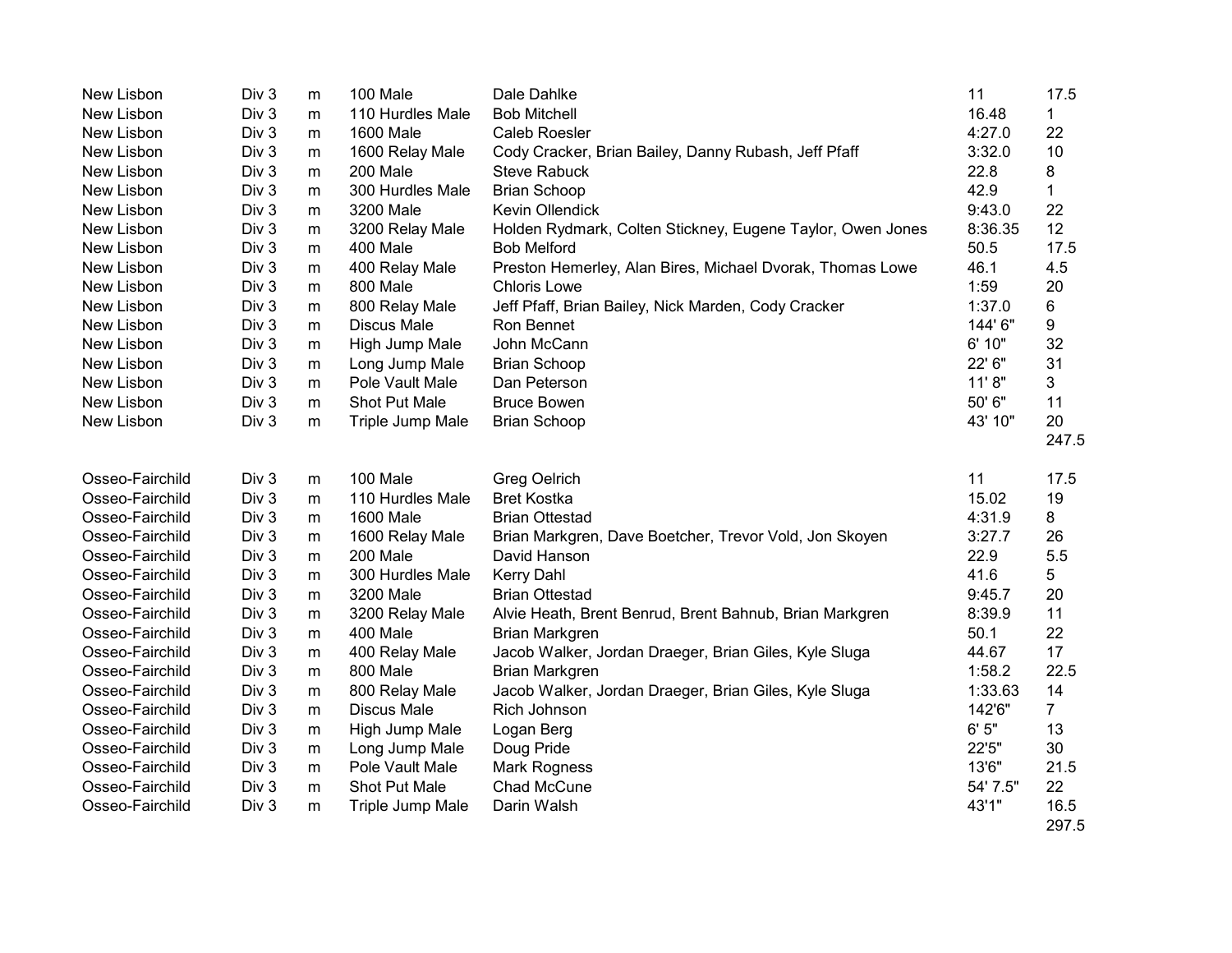| New Lisbon      | Div 3            | m         | 100 Male             | Dale Dahlke                                                | 11       | 17.5           |
|-----------------|------------------|-----------|----------------------|------------------------------------------------------------|----------|----------------|
| New Lisbon      | Div 3            | m         | 110 Hurdles Male     | <b>Bob Mitchell</b>                                        | 16.48    | 1              |
| New Lisbon      | Div 3            | m         | 1600 Male            | <b>Caleb Roesler</b>                                       | 4:27.0   | 22             |
| New Lisbon      | Div 3            | m         | 1600 Relay Male      | Cody Cracker, Brian Bailey, Danny Rubash, Jeff Pfaff       | 3:32.0   | 10             |
| New Lisbon      | Div 3            | m         | 200 Male             | <b>Steve Rabuck</b>                                        | 22.8     | 8              |
| New Lisbon      | Div 3            | m         | 300 Hurdles Male     | <b>Brian Schoop</b>                                        | 42.9     | 1              |
| New Lisbon      | Div <sub>3</sub> | m         | 3200 Male            | Kevin Ollendick                                            | 9:43.0   | 22             |
| New Lisbon      | Div 3            | m         | 3200 Relay Male      | Holden Rydmark, Colten Stickney, Eugene Taylor, Owen Jones | 8:36.35  | 12             |
| New Lisbon      | Div 3            | m         | 400 Male             | <b>Bob Melford</b>                                         | 50.5     | 17.5           |
| New Lisbon      | Div 3            | m         | 400 Relay Male       | Preston Hemerley, Alan Bires, Michael Dvorak, Thomas Lowe  | 46.1     | 4.5            |
| New Lisbon      | Div <sub>3</sub> | m         | 800 Male             | <b>Chloris Lowe</b>                                        | 1:59     | 20             |
| New Lisbon      | Div 3            | m         | 800 Relay Male       | Jeff Pfaff, Brian Bailey, Nick Marden, Cody Cracker        | 1:37.0   | 6              |
| New Lisbon      | Div 3            | m         | <b>Discus Male</b>   | Ron Bennet                                                 | 144'6"   | 9              |
| New Lisbon      | Div 3            | m         | High Jump Male       | John McCann                                                | 6' 10"   | 32             |
| New Lisbon      | Div 3            | m         | Long Jump Male       | <b>Brian Schoop</b>                                        | 22' 6"   | 31             |
| New Lisbon      | Div 3            | m         | Pole Vault Male      | Dan Peterson                                               | 11'8"    | 3              |
| New Lisbon      | Div <sub>3</sub> | m         | Shot Put Male        | <b>Bruce Bowen</b>                                         | 50' 6"   | 11             |
| New Lisbon      | Div 3            | m         | Triple Jump Male     | <b>Brian Schoop</b>                                        | 43' 10"  | 20             |
|                 |                  |           |                      |                                                            |          | 247.5          |
| Osseo-Fairchild | Div 3            | m         | 100 Male             | <b>Greg Oelrich</b>                                        | 11       | 17.5           |
| Osseo-Fairchild | Div 3            | m         | 110 Hurdles Male     | <b>Bret Kostka</b>                                         | 15.02    | 19             |
| Osseo-Fairchild | Div 3            | m         | 1600 Male            | <b>Brian Ottestad</b>                                      | 4:31.9   | 8              |
| Osseo-Fairchild | Div 3            | m         | 1600 Relay Male      | Brian Markgren, Dave Boetcher, Trevor Vold, Jon Skoyen     | 3:27.7   | 26             |
| Osseo-Fairchild | Div 3            | m         | 200 Male             | David Hanson                                               | 22.9     | 5.5            |
| Osseo-Fairchild | Div 3            | m         | 300 Hurdles Male     | Kerry Dahl                                                 | 41.6     | 5              |
| Osseo-Fairchild | Div 3            | m         | 3200 Male            | <b>Brian Ottestad</b>                                      | 9:45.7   | 20             |
| Osseo-Fairchild | Div 3            | m         | 3200 Relay Male      | Alvie Heath, Brent Benrud, Brent Bahnub, Brian Markgren    | 8:39.9   | 11             |
| Osseo-Fairchild | Div 3            | ${\sf m}$ | 400 Male             | <b>Brian Markgren</b>                                      | 50.1     | 22             |
| Osseo-Fairchild | Div 3            | m         | 400 Relay Male       | Jacob Walker, Jordan Draeger, Brian Giles, Kyle Sluga      | 44.67    | 17             |
| Osseo-Fairchild | Div 3            | m         | 800 Male             | Brian Markgren                                             | 1:58.2   | 22.5           |
| Osseo-Fairchild | Div 3            | m         | 800 Relay Male       | Jacob Walker, Jordan Draeger, Brian Giles, Kyle Sluga      | 1:33.63  | 14             |
| Osseo-Fairchild | Div 3            | m         | <b>Discus Male</b>   | Rich Johnson                                               | 142'6"   | $\overline{7}$ |
| Osseo-Fairchild | Div 3            | m         | High Jump Male       | Logan Berg                                                 | 6'5''    | 13             |
| Osseo-Fairchild | Div 3            | m         | Long Jump Male       | Doug Pride                                                 | 22'5"    | 30             |
| Osseo-Fairchild | Div 3            | m         | Pole Vault Male      | Mark Rogness                                               | 13'6"    | 21.5           |
| Osseo-Fairchild | Div 3            | m         | <b>Shot Put Male</b> | Chad McCune                                                | 54' 7.5" | 22             |
| Osseo-Fairchild | Div 3            | m         | Triple Jump Male     | Darin Walsh                                                | 43'1"    | 16.5<br>297.5  |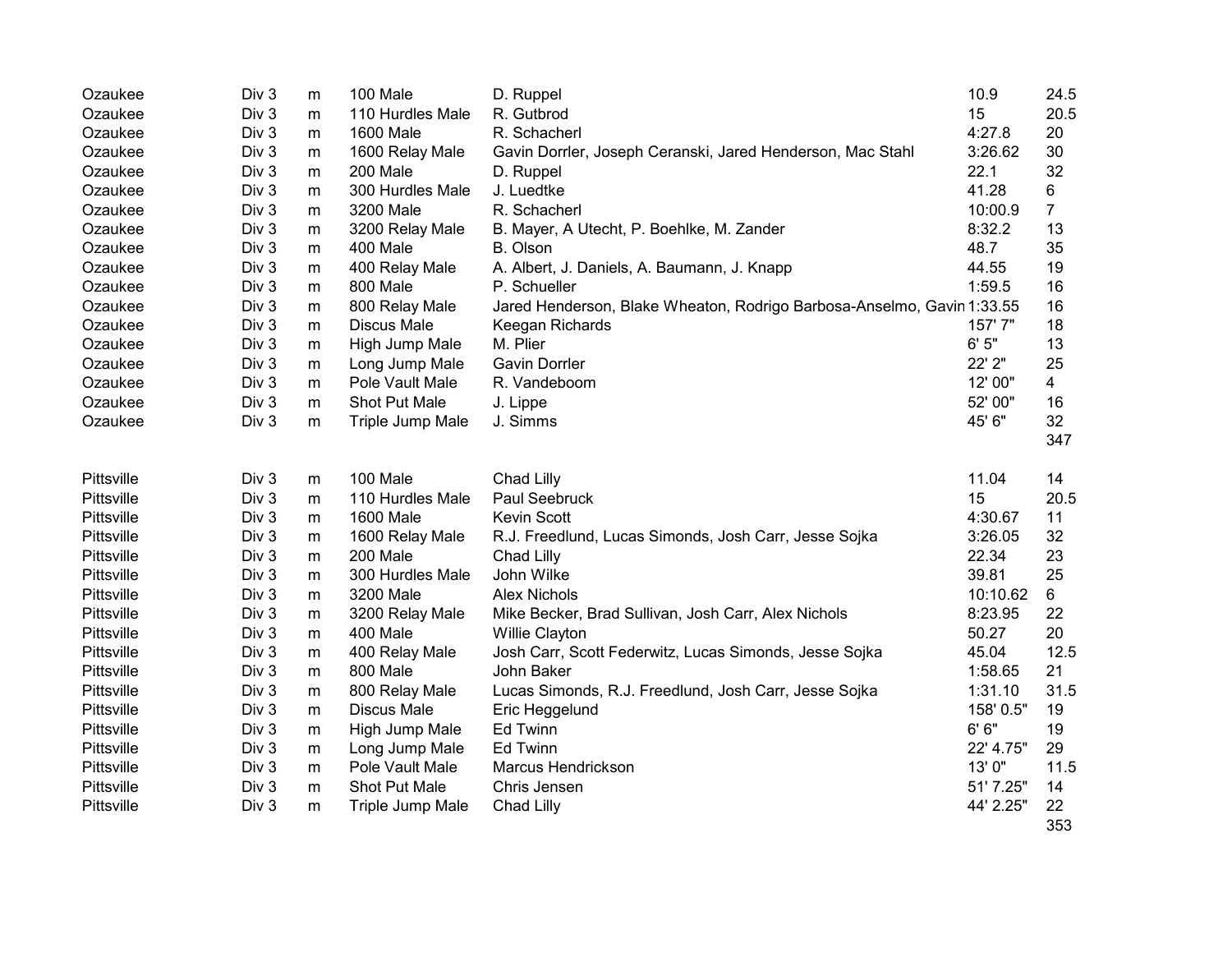| Div <sub>3</sub><br>Ozaukee<br>m | 100 Male           | D. Ruppel                                                              | 10.9      | 24.5      |
|----------------------------------|--------------------|------------------------------------------------------------------------|-----------|-----------|
| Ozaukee<br>Div 3<br>m            | 110 Hurdles Male   | R. Gutbrod                                                             | 15        | 20.5      |
| Ozaukee<br>Div 3<br>m            | <b>1600 Male</b>   | R. Schacherl                                                           | 4:27.8    | 20        |
| Div 3<br>Ozaukee<br>m            | 1600 Relay Male    | Gavin Dorrler, Joseph Ceranski, Jared Henderson, Mac Stahl             | 3:26.62   | 30        |
| Div 3<br>Ozaukee<br>m            | 200 Male           | D. Ruppel                                                              | 22.1      | 32        |
| Div 3<br>Ozaukee<br>m            | 300 Hurdles Male   | J. Luedtke                                                             | 41.28     | 6         |
| Ozaukee<br>Div 3<br>m            | 3200 Male          | R. Schacherl                                                           | 10:00.9   | 7         |
| Ozaukee<br>Div 3<br>m            | 3200 Relay Male    | B. Mayer, A Utecht, P. Boehlke, M. Zander                              | 8:32.2    | 13        |
| Ozaukee<br>Div 3<br>m            | 400 Male           | B. Olson                                                               | 48.7      | 35        |
| Ozaukee<br>Div 3<br>m            | 400 Relay Male     | A. Albert, J. Daniels, A. Baumann, J. Knapp                            | 44.55     | 19        |
| Ozaukee<br>Div 3<br>m            | 800 Male           | P. Schueller                                                           | 1:59.5    | 16        |
| Ozaukee<br>Div 3<br>m            | 800 Relay Male     | Jared Henderson, Blake Wheaton, Rodrigo Barbosa-Anselmo, Gavin 1:33.55 |           | 16        |
| Ozaukee<br>Div 3<br>m            | <b>Discus Male</b> | Keegan Richards                                                        | 157'7"    | 18        |
| Ozaukee<br>Div 3<br>m            | High Jump Male     | M. Plier                                                               | 6'5''     | 13        |
| Div 3<br>Ozaukee<br>m            | Long Jump Male     | <b>Gavin Dorrler</b>                                                   | 22' 2"    | 25        |
| Ozaukee<br>Div 3<br>m            | Pole Vault Male    | R. Vandeboom                                                           | 12' 00"   | 4         |
| Ozaukee<br>Div 3<br>m            | Shot Put Male      | J. Lippe                                                               | 52' 00"   | 16        |
| Div 3<br>Ozaukee<br>m            | Triple Jump Male   | J. Simms                                                               | 45' 6"    | 32        |
|                                  |                    |                                                                        |           | 347       |
| Pittsville<br>Div 3<br>m         | 100 Male           | Chad Lilly                                                             | 11.04     | 14        |
| Pittsville<br>Div 3<br>m         | 110 Hurdles Male   | Paul Seebruck                                                          | 15        | 20.5      |
| Pittsville<br>Div 3<br>m         | 1600 Male          | Kevin Scott                                                            | 4:30.67   | 11        |
| Pittsville<br>Div 3<br>m         | 1600 Relay Male    | R.J. Freedlund, Lucas Simonds, Josh Carr, Jesse Sojka                  | 3:26.05   | 32        |
| Pittsville<br>Div 3<br>${\sf m}$ | 200 Male           | Chad Lilly                                                             | 22.34     | 23        |
| Div 3<br>Pittsville<br>m         | 300 Hurdles Male   | John Wilke                                                             | 39.81     | 25        |
| Pittsville<br>Div 3<br>m         | 3200 Male          | <b>Alex Nichols</b>                                                    | 10:10.62  | 6         |
| Div 3<br>Pittsville<br>m         | 3200 Relay Male    | Mike Becker, Brad Sullivan, Josh Carr, Alex Nichols                    | 8:23.95   | 22        |
| Pittsville<br>Div 3<br>m         | 400 Male           | Willie Clayton                                                         | 50.27     | 20        |
| Pittsville<br>Div 3<br>${\sf m}$ | 400 Relay Male     | Josh Carr, Scott Federwitz, Lucas Simonds, Jesse Sojka                 | 45.04     | 12.5      |
| Pittsville<br>Div 3<br>m         | 800 Male           | John Baker                                                             | 1:58.65   | 21        |
| Pittsville<br>Div 3<br>m         | 800 Relay Male     | Lucas Simonds, R.J. Freedlund, Josh Carr, Jesse Sojka                  | 1:31.10   | 31.5      |
| Pittsville<br>Div 3<br>m         | <b>Discus Male</b> | Eric Heggelund                                                         | 158' 0.5" | 19        |
| Pittsville<br>Div 3<br>m         | High Jump Male     | <b>Ed Twinn</b>                                                        | 6' 6''    | 19        |
| Pittsville<br>Div 3<br>m         | Long Jump Male     | <b>Ed Twinn</b>                                                        | 22' 4.75" | 29        |
| Pittsville<br>Div 3<br>${\sf m}$ | Pole Vault Male    | <b>Marcus Hendrickson</b>                                              | 13'0"     | 11.5      |
| Pittsville<br>Div 3<br>m         | Shot Put Male      | Chris Jensen                                                           | 51' 7.25" | 14        |
| Pittsville<br>Div 3<br>m         | Triple Jump Male   | Chad Lilly                                                             | 44' 2.25" | 22<br>353 |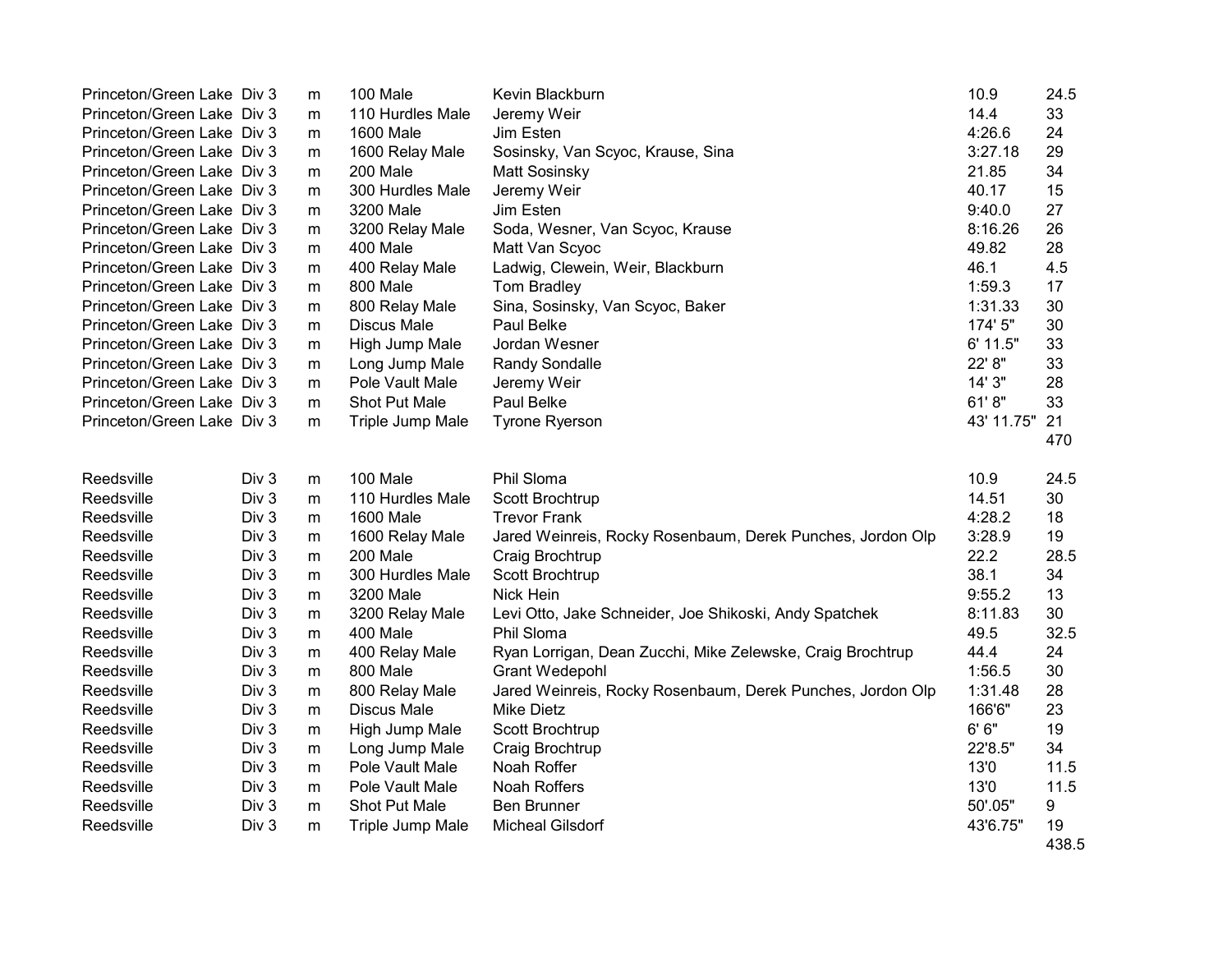| Princeton/Green Lake Div 3 |       | m         | 100 Male           | Kevin Blackburn                                            | 10.9       | 24.5  |
|----------------------------|-------|-----------|--------------------|------------------------------------------------------------|------------|-------|
| Princeton/Green Lake Div 3 |       | m         | 110 Hurdles Male   | Jeremy Weir                                                | 14.4       | 33    |
| Princeton/Green Lake Div 3 |       | m         | 1600 Male          | Jim Esten                                                  | 4:26.6     | 24    |
| Princeton/Green Lake Div 3 |       | m         | 1600 Relay Male    | Sosinsky, Van Scyoc, Krause, Sina                          | 3:27.18    | 29    |
| Princeton/Green Lake Div 3 |       | m         | 200 Male           | <b>Matt Sosinsky</b>                                       | 21.85      | 34    |
| Princeton/Green Lake Div 3 |       | m         | 300 Hurdles Male   | Jeremy Weir                                                | 40.17      | 15    |
| Princeton/Green Lake Div 3 |       | m         | 3200 Male          | Jim Esten                                                  | 9:40.0     | 27    |
| Princeton/Green Lake Div 3 |       | m         | 3200 Relay Male    | Soda, Wesner, Van Scyoc, Krause                            | 8:16.26    | 26    |
| Princeton/Green Lake Div 3 |       | m         | 400 Male           | Matt Van Scyoc                                             | 49.82      | 28    |
| Princeton/Green Lake Div 3 |       | m         | 400 Relay Male     | Ladwig, Clewein, Weir, Blackburn                           | 46.1       | 4.5   |
| Princeton/Green Lake Div 3 |       | m         | 800 Male           | Tom Bradley                                                | 1:59.3     | 17    |
| Princeton/Green Lake Div 3 |       | m         | 800 Relay Male     | Sina, Sosinsky, Van Scyoc, Baker                           | 1:31.33    | 30    |
| Princeton/Green Lake Div 3 |       | m         | <b>Discus Male</b> | Paul Belke                                                 | 174' 5"    | 30    |
| Princeton/Green Lake Div 3 |       | m         | High Jump Male     | Jordan Wesner                                              | 6' 11.5"   | 33    |
| Princeton/Green Lake Div 3 |       | m         | Long Jump Male     | <b>Randy Sondalle</b>                                      | 22' 8"     | 33    |
| Princeton/Green Lake Div 3 |       | m         | Pole Vault Male    | Jeremy Weir                                                | 14' 3"     | 28    |
| Princeton/Green Lake Div 3 |       | m         | Shot Put Male      | Paul Belke                                                 | 61'8"      | 33    |
| Princeton/Green Lake Div 3 |       | m         | Triple Jump Male   | <b>Tyrone Ryerson</b>                                      | 43' 11.75" | 21    |
|                            |       |           |                    |                                                            |            | 470   |
|                            |       |           |                    |                                                            |            |       |
| Reedsville                 | Div 3 | m         | 100 Male           | Phil Sloma                                                 | 10.9       | 24.5  |
| Reedsville                 | Div 3 | m         | 110 Hurdles Male   | Scott Brochtrup                                            | 14.51      | 30    |
| Reedsville                 | Div 3 | m         | 1600 Male          | <b>Trevor Frank</b>                                        | 4:28.2     | 18    |
| Reedsville                 | Div 3 | m         | 1600 Relay Male    | Jared Weinreis, Rocky Rosenbaum, Derek Punches, Jordon Olp | 3:28.9     | 19    |
| Reedsville                 | Div 3 | m         | 200 Male           | Craig Brochtrup                                            | 22.2       | 28.5  |
| Reedsville                 | Div 3 | m         | 300 Hurdles Male   | Scott Brochtrup                                            | 38.1       | 34    |
| Reedsville                 | Div 3 | m         | 3200 Male          | Nick Hein                                                  | 9:55.2     | 13    |
| Reedsville                 | Div 3 | m         | 3200 Relay Male    | Levi Otto, Jake Schneider, Joe Shikoski, Andy Spatchek     | 8:11.83    | 30    |
| Reedsville                 | Div 3 | m         | 400 Male           | Phil Sloma                                                 | 49.5       | 32.5  |
| Reedsville                 | Div 3 | m         | 400 Relay Male     | Ryan Lorrigan, Dean Zucchi, Mike Zelewske, Craig Brochtrup | 44.4       | 24    |
| Reedsville                 | Div 3 | m         | 800 Male           | <b>Grant Wedepohl</b>                                      | 1:56.5     | 30    |
| Reedsville                 | Div 3 | m         | 800 Relay Male     | Jared Weinreis, Rocky Rosenbaum, Derek Punches, Jordon Olp | 1:31.48    | 28    |
| Reedsville                 | Div 3 | m         | <b>Discus Male</b> | <b>Mike Dietz</b>                                          | 166'6"     | 23    |
| Reedsville                 | Div 3 | ${\sf m}$ | High Jump Male     | Scott Brochtrup                                            | 6'6''      | 19    |
| Reedsville                 | Div 3 | m         | Long Jump Male     | Craig Brochtrup                                            | 22'8.5"    | 34    |
| Reedsville                 | Div 3 | m         | Pole Vault Male    | Noah Roffer                                                | 13'0       | 11.5  |
| Reedsville                 | Div 3 | m         | Pole Vault Male    | Noah Roffers                                               | 13'0       | 11.5  |
| Reedsville                 | Div 3 | m         | Shot Put Male      | <b>Ben Brunner</b>                                         | 50'.05"    | 9     |
| Reedsville                 | Div 3 | m         | Triple Jump Male   | <b>Micheal Gilsdorf</b>                                    | 43'6.75"   | 19    |
|                            |       |           |                    |                                                            |            | 438.5 |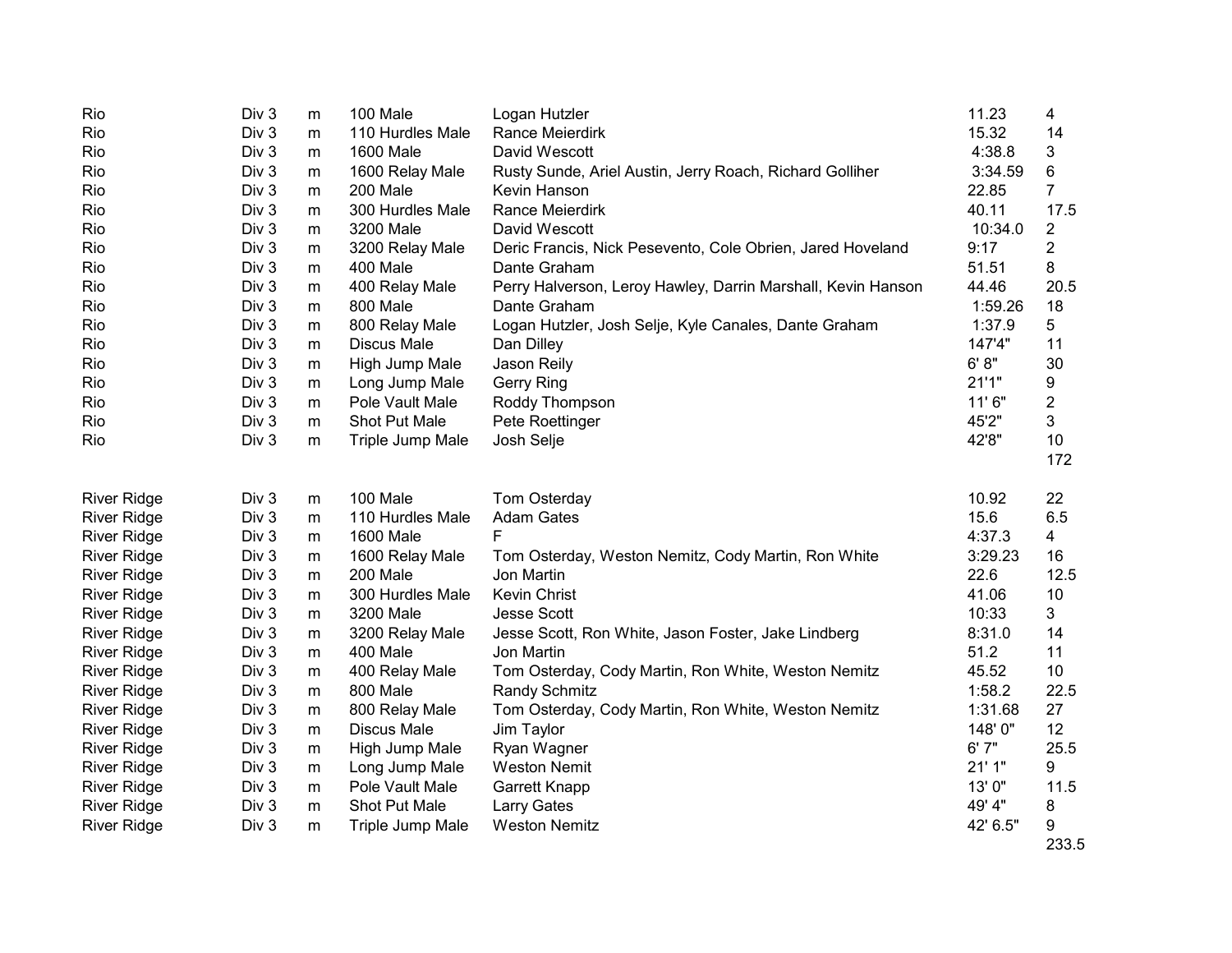| Rio                | Div 3 | m         | 100 Male           | Logan Hutzler                                                | 11.23    | 4              |
|--------------------|-------|-----------|--------------------|--------------------------------------------------------------|----------|----------------|
| Rio                | Div 3 | m         | 110 Hurdles Male   | Rance Meierdirk                                              | 15.32    | 14             |
| Rio                | Div 3 | m         | 1600 Male          | David Wescott                                                | 4:38.8   | 3              |
| Rio                | Div 3 | m         | 1600 Relay Male    | Rusty Sunde, Ariel Austin, Jerry Roach, Richard Golliher     | 3:34.59  | 6              |
| Rio                | Div 3 | m         | 200 Male           | Kevin Hanson                                                 | 22.85    | $\overline{7}$ |
| Rio                | Div 3 | m         | 300 Hurdles Male   | Rance Meierdirk                                              | 40.11    | 17.5           |
| Rio                | Div 3 | m         | 3200 Male          | David Wescott                                                | 10:34.0  | 2              |
| Rio                | Div 3 | m         | 3200 Relay Male    | Deric Francis, Nick Pesevento, Cole Obrien, Jared Hoveland   | 9:17     | $\overline{2}$ |
| Rio                | Div 3 | m         | 400 Male           | Dante Graham                                                 | 51.51    | 8              |
| Rio                | Div 3 | m         | 400 Relay Male     | Perry Halverson, Leroy Hawley, Darrin Marshall, Kevin Hanson | 44.46    | 20.5           |
| Rio                | Div 3 | m         | 800 Male           | Dante Graham                                                 | 1:59.26  | 18             |
| Rio                | Div 3 | m         | 800 Relay Male     | Logan Hutzler, Josh Selje, Kyle Canales, Dante Graham        | 1:37.9   | 5              |
| Rio                | Div 3 | ${\sf m}$ | <b>Discus Male</b> | Dan Dilley                                                   | 147'4"   | 11             |
| Rio                | Div 3 | m         | High Jump Male     | Jason Reily                                                  | 6' 8''   | 30             |
| Rio                | Div 3 | m         | Long Jump Male     | <b>Gerry Ring</b>                                            | 21'1"    | 9              |
| Rio                | Div 3 | m         | Pole Vault Male    | Roddy Thompson                                               | 11' 6"   | 2              |
| Rio                | Div 3 | m         | Shot Put Male      | Pete Roettinger                                              | 45'2"    | 3              |
| Rio                | Div 3 | m         | Triple Jump Male   | Josh Selje                                                   | 42'8"    | 10             |
|                    |       |           |                    |                                                              |          | 172            |
| <b>River Ridge</b> | Div 3 | m         | 100 Male           | Tom Osterday                                                 | 10.92    | 22             |
| <b>River Ridge</b> | Div 3 | m         | 110 Hurdles Male   | <b>Adam Gates</b>                                            | 15.6     | 6.5            |
| <b>River Ridge</b> | Div 3 | m         | <b>1600 Male</b>   | F.                                                           | 4:37.3   | 4              |
| <b>River Ridge</b> | Div 3 | m         | 1600 Relay Male    | Tom Osterday, Weston Nemitz, Cody Martin, Ron White          | 3:29.23  | 16             |
| <b>River Ridge</b> | Div 3 | m         | 200 Male           | Jon Martin                                                   | 22.6     | 12.5           |
| <b>River Ridge</b> | Div 3 | m         | 300 Hurdles Male   | Kevin Christ                                                 | 41.06    | 10             |
| <b>River Ridge</b> | Div 3 | m         | 3200 Male          | <b>Jesse Scott</b>                                           | 10:33    | 3              |
| <b>River Ridge</b> | Div 3 | m         | 3200 Relay Male    | Jesse Scott, Ron White, Jason Foster, Jake Lindberg          | 8:31.0   | 14             |
| <b>River Ridge</b> | Div 3 | m         | 400 Male           | Jon Martin                                                   | 51.2     | 11             |
| <b>River Ridge</b> | Div 3 | m         | 400 Relay Male     | Tom Osterday, Cody Martin, Ron White, Weston Nemitz          | 45.52    | 10             |
| <b>River Ridge</b> | Div 3 | m         | 800 Male           | Randy Schmitz                                                | 1:58.2   | 22.5           |
| <b>River Ridge</b> | Div 3 | m         | 800 Relay Male     | Tom Osterday, Cody Martin, Ron White, Weston Nemitz          | 1:31.68  | 27             |
| <b>River Ridge</b> | Div 3 | m         | <b>Discus Male</b> | Jim Taylor                                                   | 148'0"   | 12             |
| <b>River Ridge</b> | Div 3 | m         | High Jump Male     | Ryan Wagner                                                  | 6'7''    | 25.5           |
| <b>River Ridge</b> | Div 3 | m         | Long Jump Male     | <b>Weston Nemit</b>                                          | 21'1"    | 9              |
| <b>River Ridge</b> | Div 3 | m         | Pole Vault Male    | Garrett Knapp                                                | 13'0"    | 11.5           |
| <b>River Ridge</b> | Div 3 | m         | Shot Put Male      | <b>Larry Gates</b>                                           | 49' 4"   | 8              |
| <b>River Ridge</b> | Div 3 | m         | Triple Jump Male   | <b>Weston Nemitz</b>                                         | 42' 6.5" | 9              |
|                    |       |           |                    |                                                              |          | 233.5          |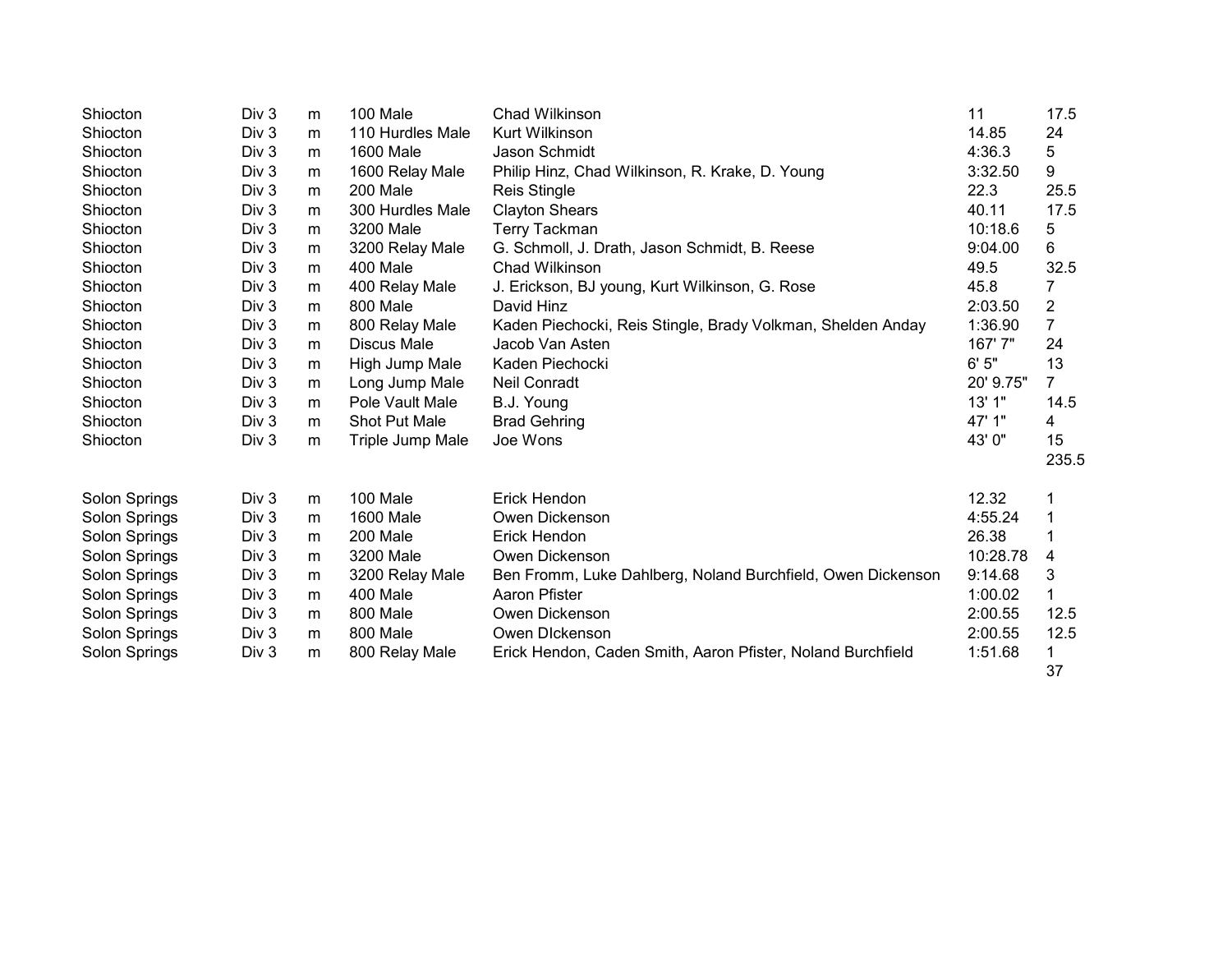| Shiocton      | Div <sub>3</sub> | m | 100 Male         | Chad Wilkinson                                              | 11        | 17.5           |
|---------------|------------------|---|------------------|-------------------------------------------------------------|-----------|----------------|
| Shiocton      | Div 3            | m | 110 Hurdles Male | Kurt Wilkinson                                              | 14.85     | 24             |
| Shiocton      | Div 3            | m | <b>1600 Male</b> | Jason Schmidt                                               | 4:36.3    | 5              |
| Shiocton      | Div 3            | m | 1600 Relay Male  | Philip Hinz, Chad Wilkinson, R. Krake, D. Young             | 3:32.50   | 9              |
| Shiocton      | Div 3            | m | 200 Male         | <b>Reis Stingle</b>                                         | 22.3      | 25.5           |
| Shiocton      | Div 3            | m | 300 Hurdles Male | <b>Clayton Shears</b>                                       | 40.11     | 17.5           |
| Shiocton      | Div <sub>3</sub> | m | 3200 Male        | <b>Terry Tackman</b>                                        | 10:18.6   | 5              |
| Shiocton      | Div 3            | m | 3200 Relay Male  | G. Schmoll, J. Drath, Jason Schmidt, B. Reese               | 9:04.00   | 6              |
| Shiocton      | Div 3            | m | 400 Male         | Chad Wilkinson                                              | 49.5      | 32.5           |
| Shiocton      | Div 3            | m | 400 Relay Male   | J. Erickson, BJ young, Kurt Wilkinson, G. Rose              | 45.8      | 7              |
| Shiocton      | Div 3            | m | 800 Male         | David Hinz                                                  | 2:03.50   | $\overline{c}$ |
| Shiocton      | Div 3            | m | 800 Relay Male   | Kaden Piechocki, Reis Stingle, Brady Volkman, Shelden Anday | 1:36.90   | $\overline{7}$ |
| Shiocton      | Div 3            | m | Discus Male      | Jacob Van Asten                                             | 167'7"    | 24             |
| Shiocton      | Div 3            | m | High Jump Male   | Kaden Piechocki                                             | 6'5''     | 13             |
| Shiocton      | Div 3            | m | Long Jump Male   | Neil Conradt                                                | 20' 9.75" | $\overline{7}$ |
| Shiocton      | Div 3            | m | Pole Vault Male  | B.J. Young                                                  | 13' 1"    | 14.5           |
| Shiocton      | Div 3            | m | Shot Put Male    | <b>Brad Gehring</b>                                         | 47' 1"    | 4              |
| Shiocton      | Div 3            | m | Triple Jump Male | Joe Wons                                                    | 43' 0"    | 15             |
|               |                  |   |                  |                                                             |           | 235.5          |
| Solon Springs | Div 3            | m | 100 Male         | Erick Hendon                                                | 12.32     | 1              |
| Solon Springs | Div 3            | m | 1600 Male        | Owen Dickenson                                              | 4:55.24   | 1              |
| Solon Springs | Div 3            | m | 200 Male         | Erick Hendon                                                | 26.38     | 1              |
| Solon Springs | Div 3            | m | 3200 Male        | Owen Dickenson                                              | 10:28.78  | 4              |
| Solon Springs | Div 3            | m | 3200 Relay Male  | Ben Fromm, Luke Dahlberg, Noland Burchfield, Owen Dickenson | 9:14.68   | 3              |
| Solon Springs | Div 3            | m | 400 Male         | Aaron Pfister                                               | 1:00.02   | 1              |
| Solon Springs | Div 3            | m | 800 Male         | Owen Dickenson                                              | 2:00.55   | 12.5           |
| Solon Springs | Div 3            | m | 800 Male         | Owen DIckenson                                              | 2:00.55   | 12.5           |
| Solon Springs | Div 3            | m | 800 Relay Male   | Erick Hendon, Caden Smith, Aaron Pfister, Noland Burchfield | 1:51.68   | 1              |
|               |                  |   |                  |                                                             |           | 37             |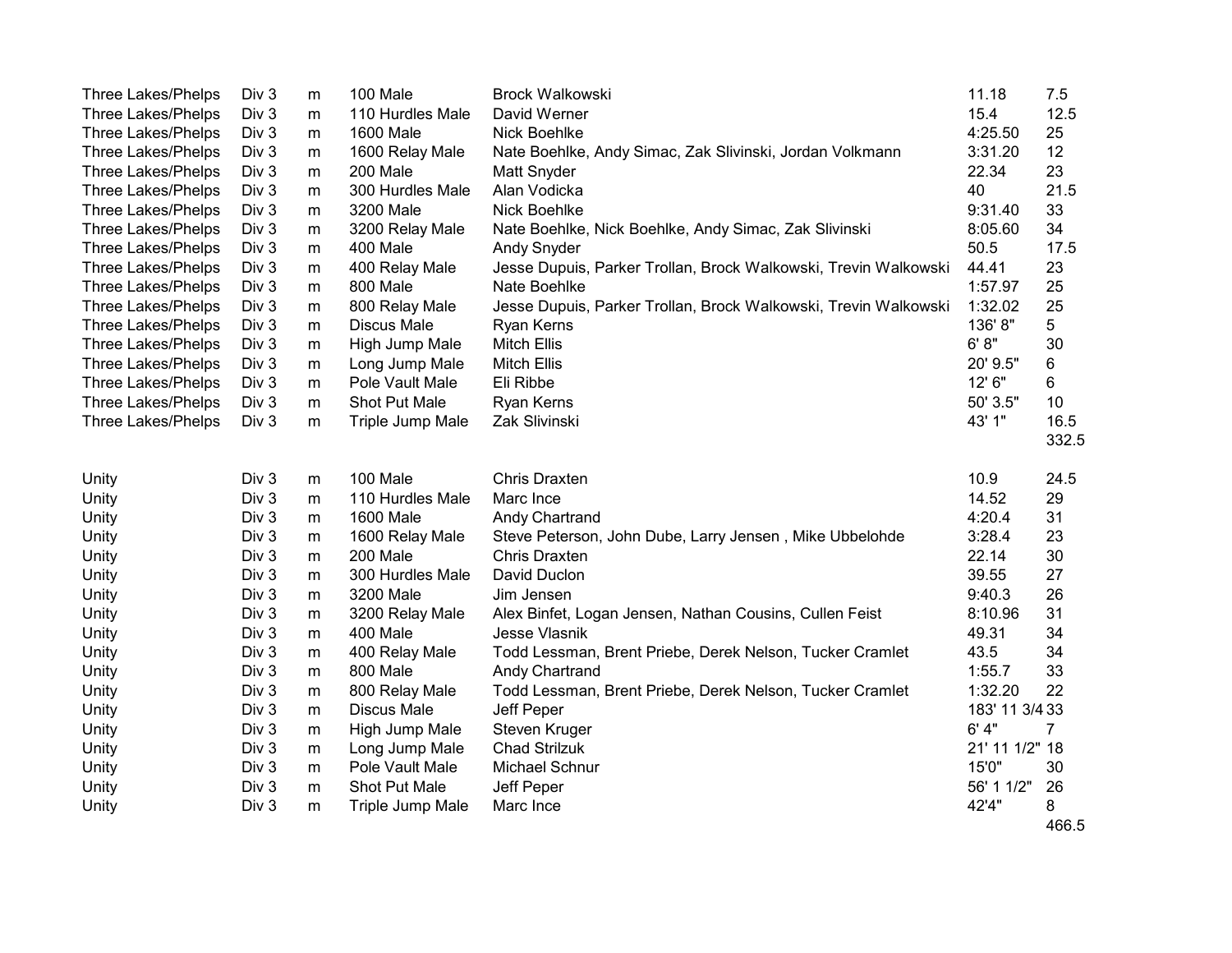| <b>Three Lakes/Phelps</b> | Div <sub>3</sub> | m         | 100 Male           | Brock Walkowski                                                 | 11.18          | 7.5   |
|---------------------------|------------------|-----------|--------------------|-----------------------------------------------------------------|----------------|-------|
| <b>Three Lakes/Phelps</b> | Div <sub>3</sub> | m         | 110 Hurdles Male   | David Werner                                                    | 15.4           | 12.5  |
| <b>Three Lakes/Phelps</b> | Div 3            | m         | 1600 Male          | Nick Boehlke                                                    | 4:25.50        | 25    |
| <b>Three Lakes/Phelps</b> | Div 3            | m         | 1600 Relay Male    | Nate Boehlke, Andy Simac, Zak Slivinski, Jordan Volkmann        | 3:31.20        | 12    |
| <b>Three Lakes/Phelps</b> | Div 3            | ${\sf m}$ | 200 Male           | Matt Snyder                                                     | 22.34          | 23    |
| <b>Three Lakes/Phelps</b> | Div 3            | m         | 300 Hurdles Male   | Alan Vodicka                                                    | 40             | 21.5  |
| <b>Three Lakes/Phelps</b> | Div 3            | m         | 3200 Male          | Nick Boehlke                                                    | 9:31.40        | 33    |
| <b>Three Lakes/Phelps</b> | Div 3            | m         | 3200 Relay Male    | Nate Boehlke, Nick Boehlke, Andy Simac, Zak Slivinski           | 8:05.60        | 34    |
| <b>Three Lakes/Phelps</b> | Div 3            | m         | 400 Male           | Andy Snyder                                                     | 50.5           | 17.5  |
| <b>Three Lakes/Phelps</b> | Div 3            | m         | 400 Relay Male     | Jesse Dupuis, Parker Trollan, Brock Walkowski, Trevin Walkowski | 44.41          | 23    |
| <b>Three Lakes/Phelps</b> | Div <sub>3</sub> | m         | 800 Male           | Nate Boehlke                                                    | 1:57.97        | 25    |
| <b>Three Lakes/Phelps</b> | Div <sub>3</sub> | m         | 800 Relay Male     | Jesse Dupuis, Parker Trollan, Brock Walkowski, Trevin Walkowski | 1:32.02        | 25    |
| <b>Three Lakes/Phelps</b> | Div 3            | m         | <b>Discus Male</b> | Ryan Kerns                                                      | 136'8"         | 5     |
| <b>Three Lakes/Phelps</b> | Div 3            | m         | High Jump Male     | <b>Mitch Ellis</b>                                              | 6' 8''         | 30    |
| <b>Three Lakes/Phelps</b> | Div 3            | m         | Long Jump Male     | <b>Mitch Ellis</b>                                              | 20' 9.5"       | 6     |
| <b>Three Lakes/Phelps</b> | Div 3            | m         | Pole Vault Male    | Eli Ribbe                                                       | 12' 6"         | 6     |
| <b>Three Lakes/Phelps</b> | Div 3            | m         | Shot Put Male      | Ryan Kerns                                                      | 50' 3.5"       | 10    |
| <b>Three Lakes/Phelps</b> | Div 3            | m         | Triple Jump Male   | Zak Slivinski                                                   | 43' 1"         | 16.5  |
|                           |                  |           |                    |                                                                 |                | 332.5 |
| Unity                     | Div 3            | m         | 100 Male           | <b>Chris Draxten</b>                                            | 10.9           | 24.5  |
| Unity                     | Div <sub>3</sub> | m         | 110 Hurdles Male   | Marc Ince                                                       | 14.52          | 29    |
| Unity                     | Div 3            | m         | <b>1600 Male</b>   | Andy Chartrand                                                  | 4:20.4         | 31    |
| Unity                     | Div 3            | m         | 1600 Relay Male    | Steve Peterson, John Dube, Larry Jensen, Mike Ubbelohde         | 3:28.4         | 23    |
| Unity                     | Div 3            | m         | 200 Male           | Chris Draxten                                                   | 22.14          | 30    |
| Unity                     | Div 3            | m         | 300 Hurdles Male   | David Duclon                                                    | 39.55          | 27    |
| Unity                     | Div 3            | m         | 3200 Male          | Jim Jensen                                                      | 9:40.3         | 26    |
| Unity                     | Div 3            | m         | 3200 Relay Male    | Alex Binfet, Logan Jensen, Nathan Cousins, Cullen Feist         | 8:10.96        | 31    |
| Unity                     | Div <sub>3</sub> | m         | 400 Male           | Jesse Vlasnik                                                   | 49.31          | 34    |
| Unity                     | Div <sub>3</sub> | m         | 400 Relay Male     | Todd Lessman, Brent Priebe, Derek Nelson, Tucker Cramlet        | 43.5           | 34    |
| Unity                     | Div 3            | m         | 800 Male           | Andy Chartrand                                                  | 1:55.7         | 33    |
| Unity                     | Div 3            | m         | 800 Relay Male     | Todd Lessman, Brent Priebe, Derek Nelson, Tucker Cramlet        | 1:32.20        | 22    |
| Unity                     | Div 3            | ${\sf m}$ | <b>Discus Male</b> | Jeff Peper                                                      | 183' 11 3/4 33 |       |
| Unity                     | Div 3            | m         | High Jump Male     | Steven Kruger                                                   | 6' 4"          | 7     |
| Unity                     | Div <sub>3</sub> | m         | Long Jump Male     | <b>Chad Strilzuk</b>                                            | 21' 11 1/2" 18 |       |
| Unity                     | Div <sub>3</sub> | m         | Pole Vault Male    | Michael Schnur                                                  | 15'0"          | 30    |
| Unity                     | Div <sub>3</sub> | m         | Shot Put Male      | Jeff Peper                                                      | 56' 1 1/2"     | 26    |
| Unity                     | Div 3            | m         | Triple Jump Male   | Marc Ince                                                       | 42'4"          | 8     |
|                           |                  |           |                    |                                                                 |                | 466.5 |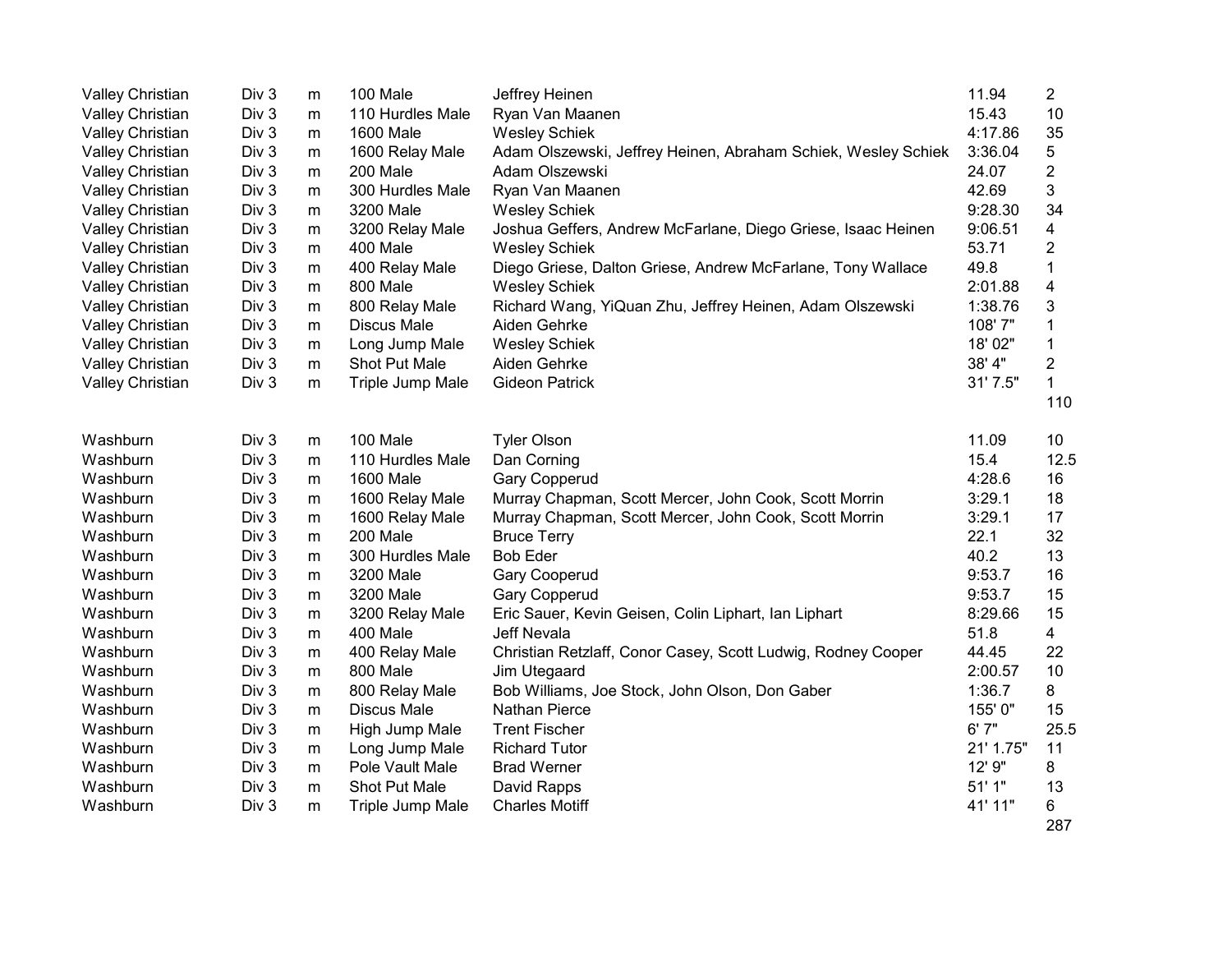| Valley Christian | Div <sub>3</sub> | m         | 100 Male           | Jeffrey Heinen                                                | 11.94     | 2            |
|------------------|------------------|-----------|--------------------|---------------------------------------------------------------|-----------|--------------|
| Valley Christian | Div 3            | m         | 110 Hurdles Male   | Ryan Van Maanen                                               | 15.43     | 10           |
| Valley Christian | Div 3            | m         | 1600 Male          | <b>Wesley Schiek</b>                                          | 4:17.86   | 35           |
| Valley Christian | Div 3            | m         | 1600 Relay Male    | Adam Olszewski, Jeffrey Heinen, Abraham Schiek, Wesley Schiek | 3:36.04   | 5            |
| Valley Christian | Div 3            | m         | 200 Male           | Adam Olszewski                                                | 24.07     | 2            |
| Valley Christian | Div 3            | m         | 300 Hurdles Male   | Ryan Van Maanen                                               | 42.69     | 3            |
| Valley Christian | Div <sub>3</sub> | m         | 3200 Male          | <b>Wesley Schiek</b>                                          | 9:28.30   | 34           |
| Valley Christian | Div 3            | m         | 3200 Relay Male    | Joshua Geffers, Andrew McFarlane, Diego Griese, Isaac Heinen  | 9:06.51   | 4            |
| Valley Christian | Div 3            | m         | 400 Male           | <b>Wesley Schiek</b>                                          | 53.71     | 2            |
| Valley Christian | Div 3            | m         | 400 Relay Male     | Diego Griese, Dalton Griese, Andrew McFarlane, Tony Wallace   | 49.8      | 1            |
| Valley Christian | Div 3            | m         | 800 Male           | <b>Wesley Schiek</b>                                          | 2:01.88   | 4            |
| Valley Christian | Div 3            | m         | 800 Relay Male     | Richard Wang, YiQuan Zhu, Jeffrey Heinen, Adam Olszewski      | 1:38.76   | 3            |
| Valley Christian | Div 3            | m         | <b>Discus Male</b> | Aiden Gehrke                                                  | 108'7"    | 1            |
| Valley Christian | Div 3            | m         | Long Jump Male     | <b>Wesley Schiek</b>                                          | 18' 02"   | 1            |
| Valley Christian | Div <sub>3</sub> | m         | Shot Put Male      | Aiden Gehrke                                                  | 38' 4"    | 2            |
| Valley Christian | Div 3            | m         | Triple Jump Male   | <b>Gideon Patrick</b>                                         | 31' 7.5"  | $\mathbf{1}$ |
|                  |                  |           |                    |                                                               |           | 110          |
| Washburn         | Div <sub>3</sub> | m         | 100 Male           | <b>Tyler Olson</b>                                            | 11.09     | 10           |
| Washburn         | Div 3            | m         | 110 Hurdles Male   | Dan Corning                                                   | 15.4      | 12.5         |
| Washburn         | Div <sub>3</sub> | m         | 1600 Male          | <b>Gary Copperud</b>                                          | 4:28.6    | 16           |
| Washburn         | Div 3            | m         | 1600 Relay Male    | Murray Chapman, Scott Mercer, John Cook, Scott Morrin         | 3:29.1    | 18           |
| Washburn         | Div 3            | m         | 1600 Relay Male    | Murray Chapman, Scott Mercer, John Cook, Scott Morrin         | 3:29.1    | 17           |
| Washburn         | Div 3            | m         | 200 Male           | <b>Bruce Terry</b>                                            | 22.1      | 32           |
| Washburn         | Div 3            | m         | 300 Hurdles Male   | <b>Bob Eder</b>                                               | 40.2      | 13           |
| Washburn         | Div 3            | ${\sf m}$ | 3200 Male          | Gary Cooperud                                                 | 9:53.7    | 16           |
| Washburn         | Div 3            | ${\sf m}$ | 3200 Male          | Gary Copperud                                                 | 9:53.7    | 15           |
| Washburn         | Div 3            | m         | 3200 Relay Male    | Eric Sauer, Kevin Geisen, Colin Liphart, Ian Liphart          | 8:29.66   | 15           |
| Washburn         | Div 3            | m         | 400 Male           | Jeff Nevala                                                   | 51.8      | 4            |
| Washburn         | Div 3            | m         | 400 Relay Male     | Christian Retzlaff, Conor Casey, Scott Ludwig, Rodney Cooper  | 44.45     | 22           |
| Washburn         | Div 3            | m         | 800 Male           | Jim Utegaard                                                  | 2:00.57   | 10           |
| Washburn         | Div 3            | m         | 800 Relay Male     | Bob Williams, Joe Stock, John Olson, Don Gaber                | 1:36.7    | 8            |
| Washburn         | Div 3            | ${\sf m}$ | <b>Discus Male</b> | Nathan Pierce                                                 | 155' 0"   | 15           |
| Washburn         | Div 3            | m         | High Jump Male     | <b>Trent Fischer</b>                                          | 6'7''     | 25.5         |
| Washburn         | Div 3            | m         | Long Jump Male     | <b>Richard Tutor</b>                                          | 21' 1.75" | 11           |
| Washburn         | Div <sub>3</sub> | m         | Pole Vault Male    | <b>Brad Werner</b>                                            | 12' 9"    | 8            |
| Washburn         | Div <sub>3</sub> | m         | Shot Put Male      | David Rapps                                                   | 51'1"     | 13           |
| Washburn         | Div <sub>3</sub> | m         | Triple Jump Male   | <b>Charles Motiff</b>                                         | 41' 11"   | 6            |
|                  |                  |           |                    |                                                               |           | 287          |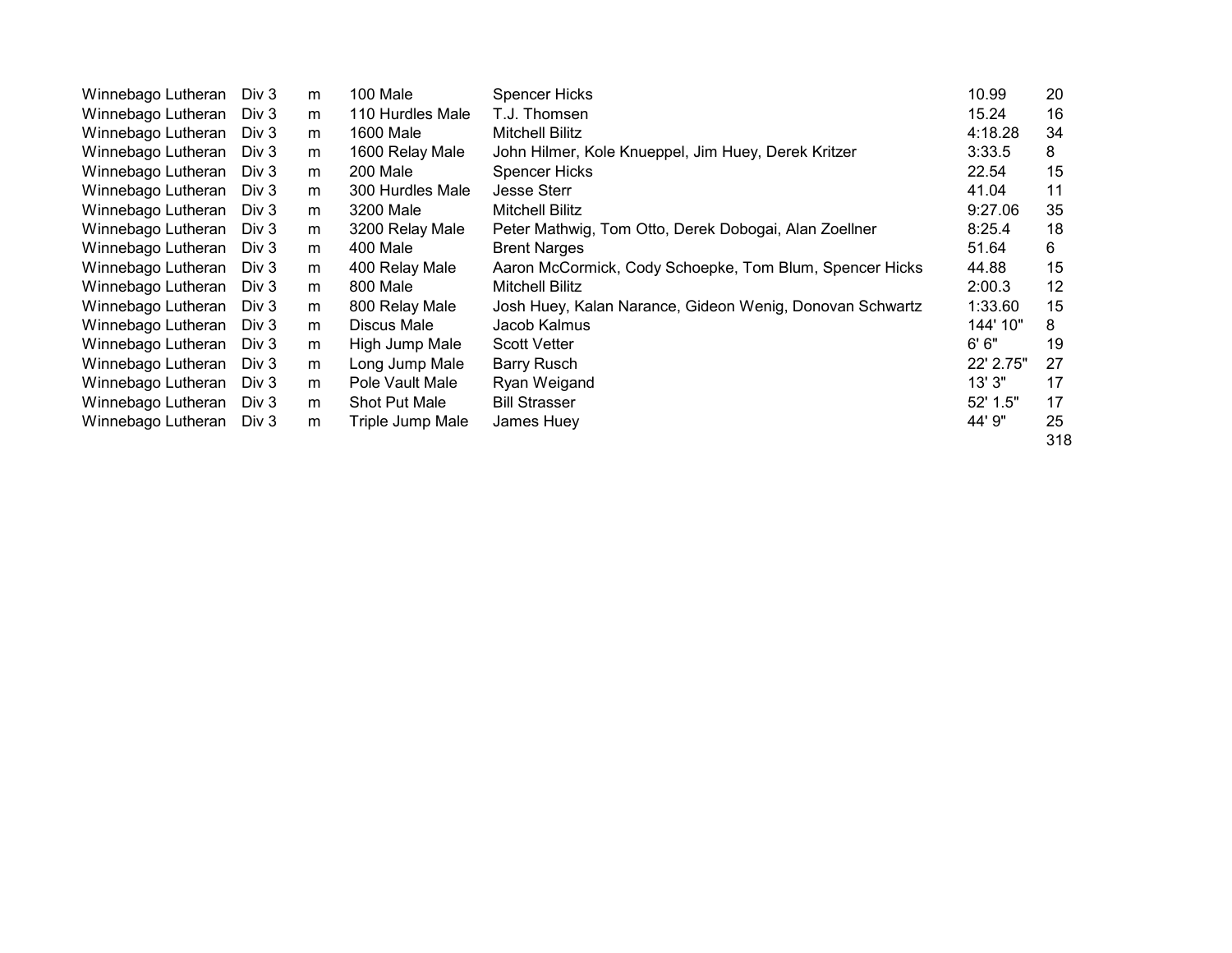| Winnebago Lutheran | Div 3 | m | 100 Male         | <b>Spencer Hicks</b>                                     | 10.99     | 20  |
|--------------------|-------|---|------------------|----------------------------------------------------------|-----------|-----|
| Winnebago Lutheran | Div 3 | m | 110 Hurdles Male | T.J. Thomsen                                             | 15.24     | 16  |
| Winnebago Lutheran | Div 3 | m | 1600 Male        | Mitchell Bilitz                                          | 4:18.28   | 34  |
| Winnebago Lutheran | Div 3 | m | 1600 Relay Male  | John Hilmer, Kole Knueppel, Jim Huey, Derek Kritzer      | 3:33.5    | 8   |
| Winnebago Lutheran | Div 3 | m | 200 Male         | Spencer Hicks                                            | 22.54     | 15  |
| Winnebago Lutheran | Div 3 | m | 300 Hurdles Male | <b>Jesse Sterr</b>                                       | 41.04     | 11  |
| Winnebago Lutheran | Div 3 | m | 3200 Male        | Mitchell Bilitz                                          | 9:27.06   | 35  |
| Winnebago Lutheran | Div 3 | m | 3200 Relay Male  | Peter Mathwig, Tom Otto, Derek Dobogai, Alan Zoellner    | 8:25.4    | 18  |
| Winnebago Lutheran | Div 3 | m | 400 Male         | <b>Brent Narges</b>                                      | 51.64     | 6   |
| Winnebago Lutheran | Div 3 | m | 400 Relay Male   | Aaron McCormick, Cody Schoepke, Tom Blum, Spencer Hicks  | 44.88     | 15  |
| Winnebago Lutheran | Div 3 | m | 800 Male         | Mitchell Bilitz                                          | 2:00.3    | 12  |
| Winnebago Lutheran | Div 3 | m | 800 Relay Male   | Josh Huey, Kalan Narance, Gideon Wenig, Donovan Schwartz | 1:33.60   | 15  |
| Winnebago Lutheran | Div 3 | m | Discus Male      | Jacob Kalmus                                             | 144' 10"  | 8   |
| Winnebago Lutheran | Div 3 | m | High Jump Male   | <b>Scott Vetter</b>                                      | 6'6''     | 19  |
| Winnebago Lutheran | Div 3 | m | Long Jump Male   | <b>Barry Rusch</b>                                       | 22' 2.75" | 27  |
| Winnebago Lutheran | Div 3 | m | Pole Vault Male  | Ryan Weigand                                             | 13'3''    | 17  |
| Winnebago Lutheran | Div 3 | m | Shot Put Male    | <b>Bill Strasser</b>                                     | 52' 1.5"  | 17  |
| Winnebago Lutheran | Div 3 | m | Triple Jump Male | James Huey                                               | 44' 9"    | 25  |
|                    |       |   |                  |                                                          |           | 318 |
|                    |       |   |                  |                                                          |           |     |